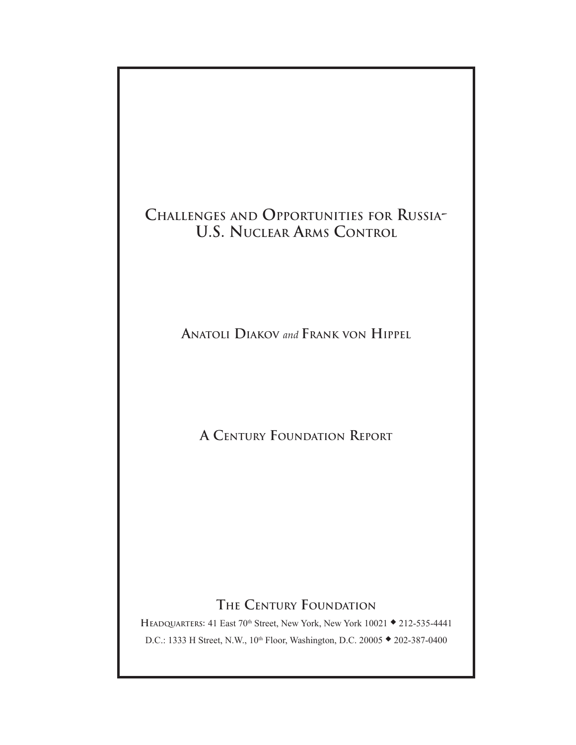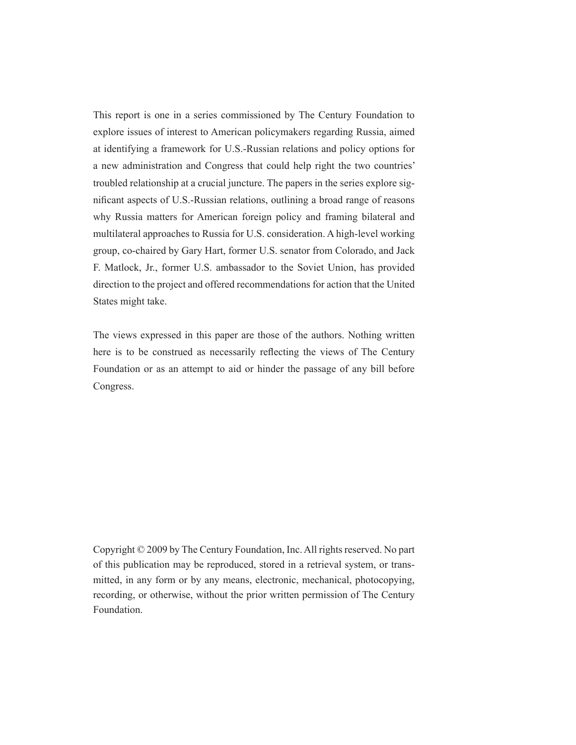This report is one in a series commissioned by The Century Foundation to explore issues of interest to American policymakers regarding Russia, aimed at identifying a framework for U.S.-Russian relations and policy options for a new administration and Congress that could help right the two countries' troubled relationship at a crucial juncture. The papers in the series explore significant aspects of U.S.-Russian relations, outlining a broad range of reasons why Russia matters for American foreign policy and framing bilateral and multilateral approaches to Russia for U.S. consideration. A high-level working group, co-chaired by Gary Hart, former U.S. senator from Colorado, and Jack F. Matlock, Jr., former U.S. ambassador to the Soviet Union, has provided direction to the project and offered recommendations for action that the United States might take.

The views expressed in this paper are those of the authors. Nothing written here is to be construed as necessarily reflecting the views of The Century Foundation or as an attempt to aid or hinder the passage of any bill before Congress.

Copyright © 2009 by The Century Foundation, Inc. All rights reserved. No part of this publication may be reproduced, stored in a retrieval system, or transmitted, in any form or by any means, electronic, mechanical, photocopying, recording, or otherwise, without the prior written permission of The Century Foundation.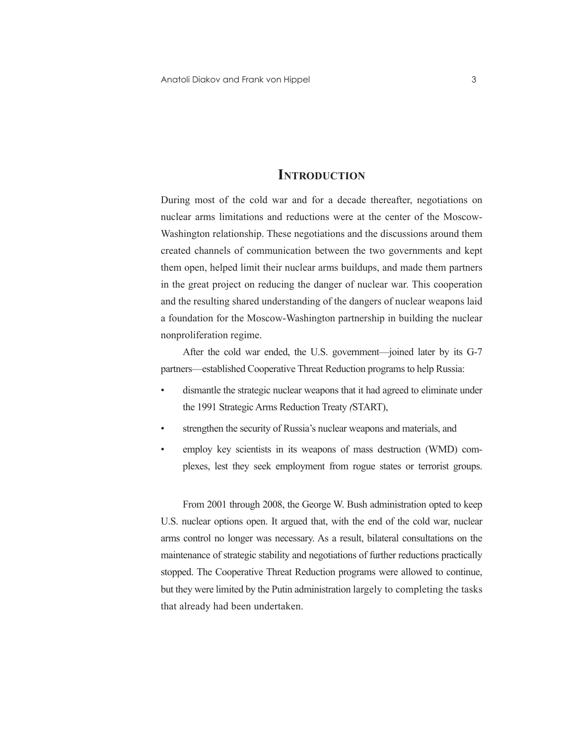### **Introduction**

During most of the cold war and for a decade thereafter, negotiations on nuclear arms limitations and reductions were at the center of the Moscow-Washington relationship. These negotiations and the discussions around them created channels of communication between the two governments and kept them open, helped limit their nuclear arms buildups, and made them partners in the great project on reducing the danger of nuclear war. This cooperation and the resulting shared understanding of the dangers of nuclear weapons laid a foundation for the Moscow-Washington partnership in building the nuclear nonproliferation regime.

After the cold war ended, the U.S. government—joined later by its G-7 partners—established Cooperative Threat Reduction programs to help Russia:

- dismantle the strategic nuclear weapons that it had agreed to eliminate under the 1991 Strategic Arms Reduction Treaty *(*START),
- strengthen the security of Russia's nuclear weapons and materials, and
- employ key scientists in its weapons of mass destruction (WMD) complexes, lest they seek employment from rogue states or terrorist groups.

From 2001 through 2008, the George W. Bush administration opted to keep U.S. nuclear options open. It argued that, with the end of the cold war, nuclear arms control no longer was necessary. As a result, bilateral consultations on the maintenance of strategic stability and negotiations of further reductions practically stopped. The Cooperative Threat Reduction programs were allowed to continue, but they were limited by the Putin administration largely to completing the tasks that already had been undertaken.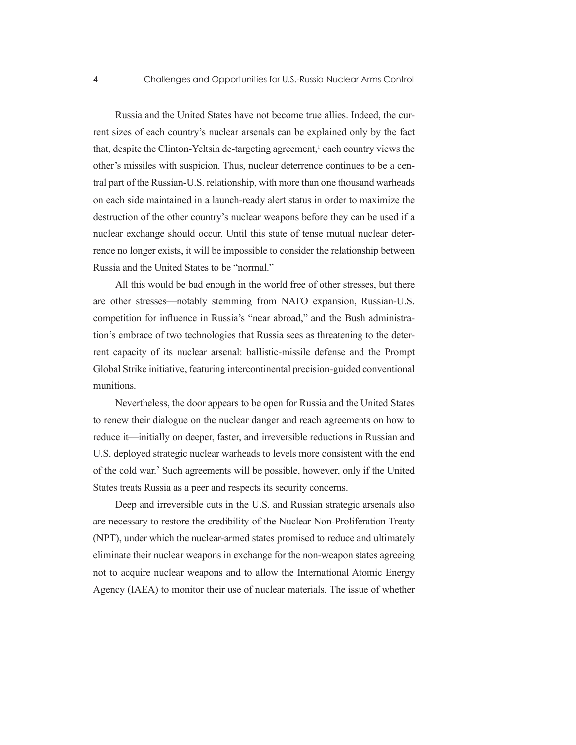Russia and the United States have not become true allies. Indeed, the current sizes of each country's nuclear arsenals can be explained only by the fact that, despite the Clinton-Yeltsin de-targeting agreement,<sup>1</sup> each country views the other's missiles with suspicion. Thus, nuclear deterrence continues to be a central part of the Russian-U.S. relationship, with more than one thousand warheads on each side maintained in a launch-ready alert status in order to maximize the destruction of the other country's nuclear weapons before they can be used if a nuclear exchange should occur. Until this state of tense mutual nuclear deterrence no longer exists, it will be impossible to consider the relationship between Russia and the United States to be "normal."

All this would be bad enough in the world free of other stresses, but there are other stresses—notably stemming from NATO expansion, Russian-U.S. competition for influence in Russia's "near abroad," and the Bush administration's embrace of two technologies that Russia sees as threatening to the deterrent capacity of its nuclear arsenal: ballistic-missile defense and the Prompt Global Strike initiative, featuring intercontinental precision-guided conventional munitions.

Nevertheless, the door appears to be open for Russia and the United States to renew their dialogue on the nuclear danger and reach agreements on how to reduce it—initially on deeper, faster, and irreversible reductions in Russian and U.S. deployed strategic nuclear warheads to levels more consistent with the end of the cold war.2 Such agreements will be possible, however, only if the United States treats Russia as a peer and respects its security concerns.

Deep and irreversible cuts in the U.S. and Russian strategic arsenals also are necessary to restore the credibility of the Nuclear Non-Proliferation Treaty (NPT), under which the nuclear-armed states promised to reduce and ultimately eliminate their nuclear weapons in exchange for the non-weapon states agreeing not to acquire nuclear weapons and to allow the International Atomic Energy Agency (IAEA) to monitor their use of nuclear materials. The issue of whether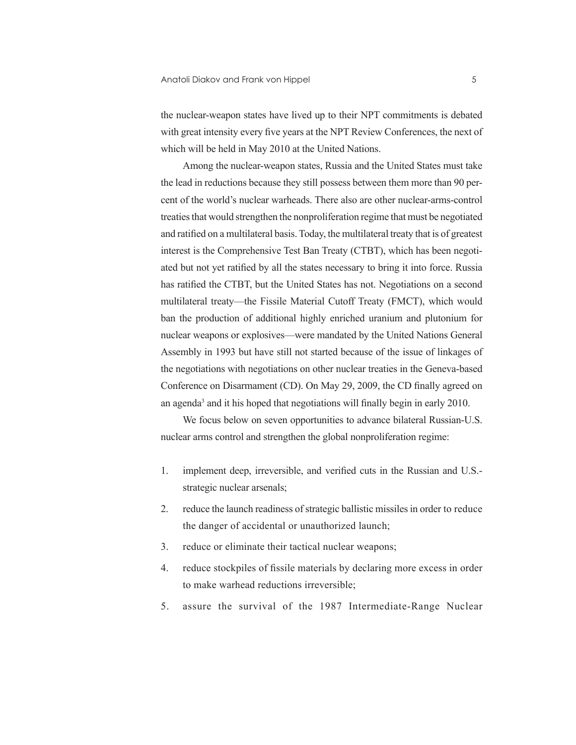the nuclear-weapon states have lived up to their NPT commitments is debated with great intensity every five years at the NPT Review Conferences, the next of which will be held in May 2010 at the United Nations.

Among the nuclear-weapon states, Russia and the United States must take the lead in reductions because they still possess between them more than 90 percent of the world's nuclear warheads. There also are other nuclear-arms-control treaties that would strengthen the nonproliferation regime that must be negotiated and ratified on a multilateral basis. Today, the multilateral treaty that is of greatest interest is the Comprehensive Test Ban Treaty (CTBT), which has been negotiated but not yet ratified by all the states necessary to bring it into force. Russia has ratified the CTBT, but the United States has not. Negotiations on a second multilateral treaty—the Fissile Material Cutoff Treaty (FMCT), which would ban the production of additional highly enriched uranium and plutonium for nuclear weapons or explosives—were mandated by the United Nations General Assembly in 1993 but have still not started because of the issue of linkages of the negotiations with negotiations on other nuclear treaties in the Geneva-based Conference on Disarmament (CD). On May 29, 2009, the CD finally agreed on an agenda<sup>3</sup> and it his hoped that negotiations will finally begin in early 2010.

We focus below on seven opportunities to advance bilateral Russian-U.S. nuclear arms control and strengthen the global nonproliferation regime:

- 1. implement deep, irreversible, and verified cuts in the Russian and U.S. strategic nuclear arsenals;
- 2. reduce the launch readiness of strategic ballistic missiles in order to reduce the danger of accidental or unauthorized launch;
- 3. reduce or eliminate their tactical nuclear weapons;
- 4. reduce stockpiles of fissile materials by declaring more excess in order to make warhead reductions irreversible;
- 5. assure the survival of the 1987 Intermediate-Range Nuclear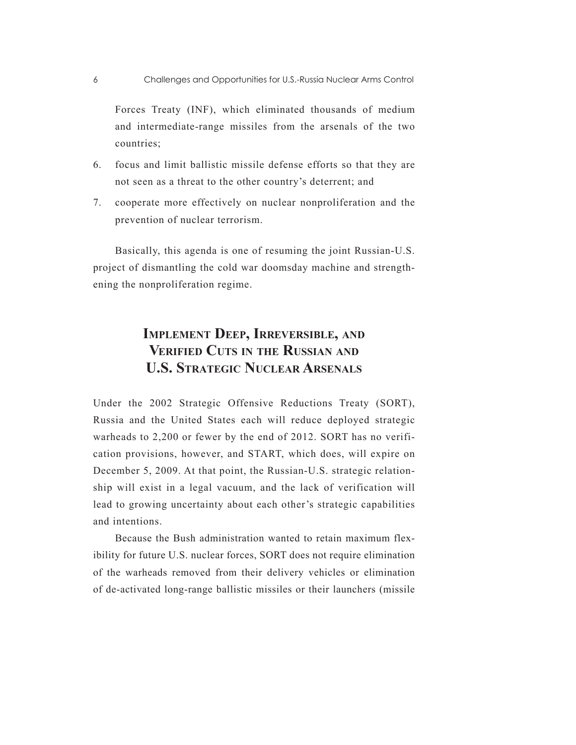Forces Treaty (INF), which eliminated thousands of medium and intermediate-range missiles from the arsenals of the two countries;

- 6. focus and limit ballistic missile defense efforts so that they are not seen as a threat to the other country's deterrent; and
- 7. cooperate more effectively on nuclear nonproliferation and the prevention of nuclear terrorism.

Basically, this agenda is one of resuming the joint Russian-U.S. project of dismantling the cold war doomsday machine and strengthening the nonproliferation regime.

# **Implement Deep, Irreversible, and Verified Cuts in the Russian and U.S. Strategic Nuclear Arsenals**

Under the 2002 Strategic Offensive Reductions Treaty (SORT), Russia and the United States each will reduce deployed strategic warheads to 2,200 or fewer by the end of 2012. SORT has no verification provisions, however, and START, which does, will expire on December 5, 2009. At that point, the Russian-U.S. strategic relationship will exist in a legal vacuum, and the lack of verification will lead to growing uncertainty about each other's strategic capabilities and intentions.

Because the Bush administration wanted to retain maximum flexibility for future U.S. nuclear forces, SORT does not require elimination of the warheads removed from their delivery vehicles or elimination of de-activated long-range ballistic missiles or their launchers (missile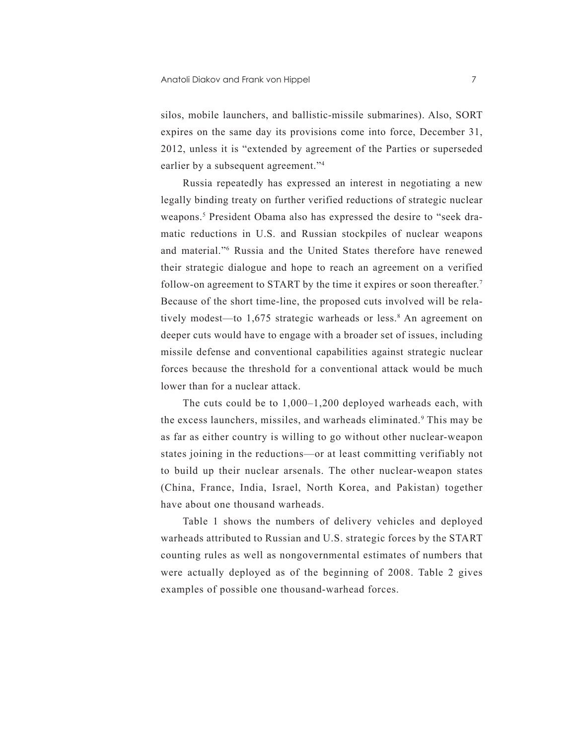silos, mobile launchers, and ballistic-missile submarines). Also, SORT expires on the same day its provisions come into force, December 31, 2012, unless it is "extended by agreement of the Parties or superseded earlier by a subsequent agreement."4

Russia repeatedly has expressed an interest in negotiating a new legally binding treaty on further verified reductions of strategic nuclear weapons.<sup>5</sup> President Obama also has expressed the desire to "seek dramatic reductions in U.S. and Russian stockpiles of nuclear weapons and material."6 Russia and the United States therefore have renewed their strategic dialogue and hope to reach an agreement on a verified follow-on agreement to START by the time it expires or soon thereafter.<sup>7</sup> Because of the short time-line, the proposed cuts involved will be relatively modest—to 1,675 strategic warheads or less.<sup>8</sup> An agreement on deeper cuts would have to engage with a broader set of issues, including missile defense and conventional capabilities against strategic nuclear forces because the threshold for a conventional attack would be much lower than for a nuclear attack.

The cuts could be to 1,000–1,200 deployed warheads each, with the excess launchers, missiles, and warheads eliminated.<sup>9</sup> This may be as far as either country is willing to go without other nuclear-weapon states joining in the reductions—or at least committing verifiably not to build up their nuclear arsenals. The other nuclear-weapon states (China, France, India, Israel, North Korea, and Pakistan) together have about one thousand warheads.

Table 1 shows the numbers of delivery vehicles and deployed warheads attributed to Russian and U.S. strategic forces by the START counting rules as well as nongovernmental estimates of numbers that were actually deployed as of the beginning of 2008. Table 2 gives examples of possible one thousand-warhead forces.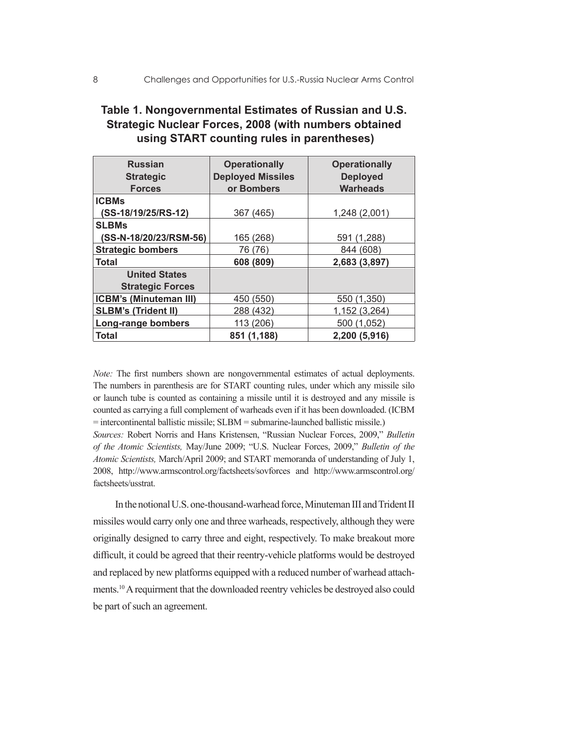| <b>Russian</b>                | <b>Operationally</b>     | <b>Operationally</b> |
|-------------------------------|--------------------------|----------------------|
| <b>Strategic</b>              | <b>Deployed Missiles</b> | <b>Deployed</b>      |
| <b>Forces</b>                 | or Bombers               | <b>Warheads</b>      |
| <b>ICBMs</b>                  |                          |                      |
| (SS-18/19/25/RS-12)           | 367 (465)                | 1,248 (2,001)        |
| <b>SLBMs</b>                  |                          |                      |
| (SS-N-18/20/23/RSM-56)        | 165 (268)                | 591 (1,288)          |
| <b>Strategic bombers</b>      | 76 (76)                  | 844 (608)            |
| Total                         | 608 (809)                | 2,683 (3,897)        |
| <b>United States</b>          |                          |                      |
| <b>Strategic Forces</b>       |                          |                      |
| <b>ICBM's (Minuteman III)</b> | 450 (550)                | 550 (1,350)          |
| <b>SLBM's (Trident II)</b>    | 288 (432)                | 1,152 (3,264)        |
| Long-range bombers            | 113 (206)                | 500 (1,052)          |
| Total                         | 851 (1,188)              | 2,200 (5,916)        |

## **Table 1. Nongovernmental Estimates of Russian and U.S. Strategic Nuclear Forces, 2008 (with numbers obtained using START counting rules in parentheses)**

*Note:* The first numbers shown are nongovernmental estimates of actual deployments. The numbers in parenthesis are for START counting rules, under which any missile silo or launch tube is counted as containing a missile until it is destroyed and any missile is counted as carrying a full complement of warheads even if it has been downloaded. (ICBM = intercontinental ballistic missile; SLBM = submarine-launched ballistic missile.)

*Sources:* Robert Norris and Hans Kristensen, "Russian Nuclear Forces, 2009," *Bulletin of the Atomic Scientists,* May/June 2009; "U.S. Nuclear Forces, 2009," *Bulletin of the Atomic Scientists,* March/April 2009; and START memoranda of understanding of July 1, 2008, http://www.armscontrol.org/factsheets/sovforces and http://www.armscontrol.org/ factsheets/usstrat.

In the notional U.S. one-thousand-warhead force, Minuteman III and Trident II missiles would carry only one and three warheads, respectively, although they were originally designed to carry three and eight, respectively. To make breakout more difficult, it could be agreed that their reentry-vehicle platforms would be destroyed and replaced by new platforms equipped with a reduced number of warhead attachments.10 A requirment that the downloaded reentry vehicles be destroyed also could be part of such an agreement.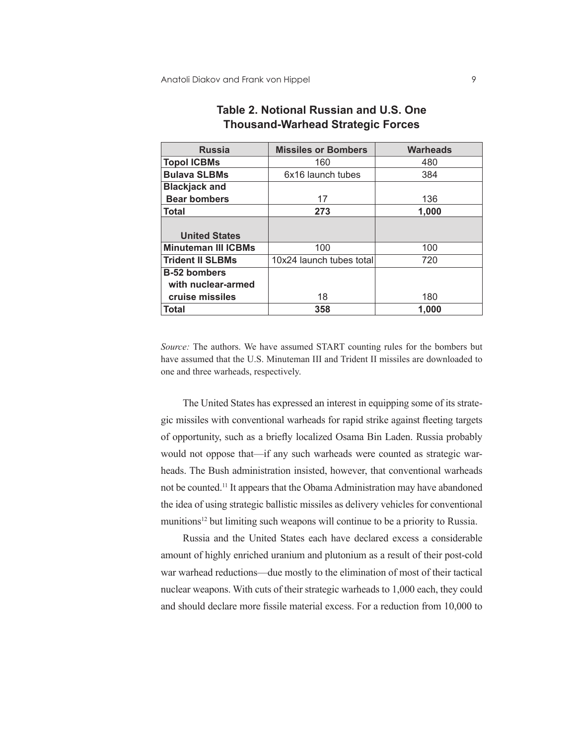| <b>Russia</b>              | <b>Missiles or Bombers</b> | <b>Warheads</b> |  |
|----------------------------|----------------------------|-----------------|--|
| <b>Topol ICBMs</b>         | 160                        | 480             |  |
| <b>Bulava SLBMs</b>        | 6x16 launch tubes          | 384             |  |
| <b>Blackjack and</b>       |                            |                 |  |
| <b>Bear bombers</b>        | 17                         | 136             |  |
| <b>Total</b>               | 273                        | 1,000           |  |
|                            |                            |                 |  |
| <b>United States</b>       |                            |                 |  |
| <b>Minuteman III ICBMs</b> | 100                        | 100             |  |
| <b>Trident II SLBMs</b>    | 10x24 launch tubes total   | 720             |  |
| <b>B-52 bombers</b>        |                            |                 |  |
| with nuclear-armed         |                            |                 |  |
| cruise missiles            | 18                         | 180             |  |
| <b>Total</b>               | 358                        | 1.000           |  |

### **Table 2. Notional Russian and U.S. One Thousand-Warhead Strategic Forces**

*Source:* The authors. We have assumed START counting rules for the bombers but have assumed that the U.S. Minuteman III and Trident II missiles are downloaded to one and three warheads, respectively.

The United States has expressed an interest in equipping some of its strategic missiles with conventional warheads for rapid strike against fleeting targets of opportunity, such as a briefly localized Osama Bin Laden. Russia probably would not oppose that—if any such warheads were counted as strategic warheads. The Bush administration insisted, however, that conventional warheads not be counted.11 It appears that the Obama Administration may have abandoned the idea of using strategic ballistic missiles as delivery vehicles for conventional munitions<sup>12</sup> but limiting such weapons will continue to be a priority to Russia.

Russia and the United States each have declared excess a considerable amount of highly enriched uranium and plutonium as a result of their post-cold war warhead reductions—due mostly to the elimination of most of their tactical nuclear weapons. With cuts of their strategic warheads to 1,000 each, they could and should declare more fissile material excess. For a reduction from 10,000 to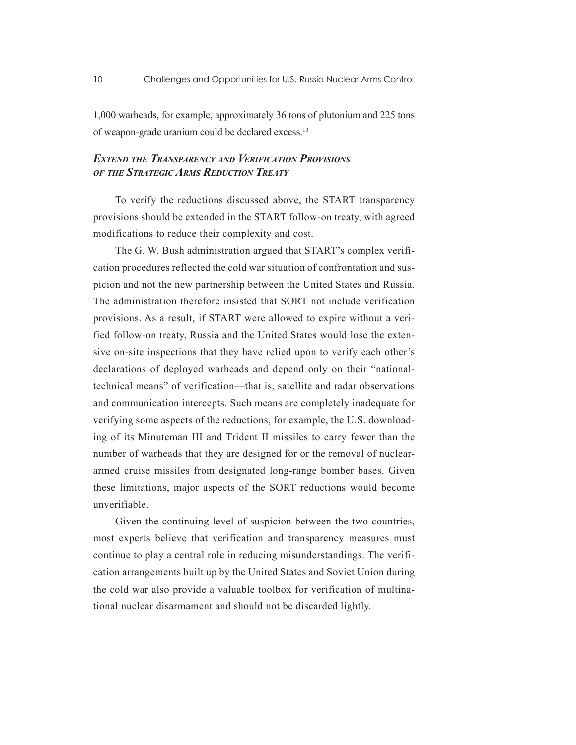1,000 warheads, for example, approximately 36 tons of plutonium and 225 tons of weapon-grade uranium could be declared excess.13

#### *Extend the Transparency and Verification Provisions of the Strategic Arms Reduction Treaty*

To verify the reductions discussed above, the START transparency provisions should be extended in the START follow-on treaty, with agreed modifications to reduce their complexity and cost.

The G. W. Bush administration argued that START's complex verification procedures reflected the cold war situation of confrontation and suspicion and not the new partnership between the United States and Russia. The administration therefore insisted that SORT not include verification provisions. As a result, if START were allowed to expire without a verified follow-on treaty, Russia and the United States would lose the extensive on-site inspections that they have relied upon to verify each other's declarations of deployed warheads and depend only on their "nationaltechnical means" of verification—that is, satellite and radar observations and communication intercepts. Such means are completely inadequate for verifying some aspects of the reductions, for example, the U.S. downloading of its Minuteman III and Trident II missiles to carry fewer than the number of warheads that they are designed for or the removal of nucleararmed cruise missiles from designated long-range bomber bases. Given these limitations, major aspects of the SORT reductions would become unverifiable.

Given the continuing level of suspicion between the two countries, most experts believe that verification and transparency measures must continue to play a central role in reducing misunderstandings. The verification arrangements built up by the United States and Soviet Union during the cold war also provide a valuable toolbox for verification of multinational nuclear disarmament and should not be discarded lightly.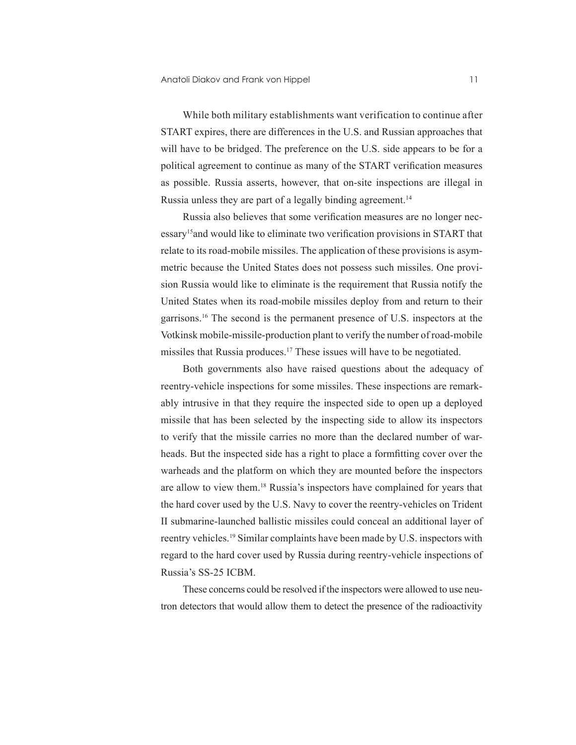While both military establishments want verification to continue after START expires, there are differences in the U.S. and Russian approaches that will have to be bridged. The preference on the U.S. side appears to be for a political agreement to continue as many of the START verification measures as possible. Russia asserts, however, that on-site inspections are illegal in Russia unless they are part of a legally binding agreement.<sup>14</sup>

Russia also believes that some verification measures are no longer necessary15and would like to eliminate two verification provisions in START that relate to its road-mobile missiles. The application of these provisions is asymmetric because the United States does not possess such missiles. One provision Russia would like to eliminate is the requirement that Russia notify the United States when its road-mobile missiles deploy from and return to their garrisons.16 The second is the permanent presence of U.S. inspectors at the Votkinsk mobile-missile-production plant to verify the number of road-mobile missiles that Russia produces.17 These issues will have to be negotiated.

Both governments also have raised questions about the adequacy of reentry-vehicle inspections for some missiles. These inspections are remarkably intrusive in that they require the inspected side to open up a deployed missile that has been selected by the inspecting side to allow its inspectors to verify that the missile carries no more than the declared number of warheads. But the inspected side has a right to place a formfitting cover over the warheads and the platform on which they are mounted before the inspectors are allow to view them.18 Russia's inspectors have complained for years that the hard cover used by the U.S. Navy to cover the reentry-vehicles on Trident II submarine-launched ballistic missiles could conceal an additional layer of reentry vehicles.19 Similar complaints have been made by U.S. inspectors with regard to the hard cover used by Russia during reentry-vehicle inspections of Russia's SS-25 ICBM.

These concerns could be resolved if the inspectors were allowed to use neutron detectors that would allow them to detect the presence of the radioactivity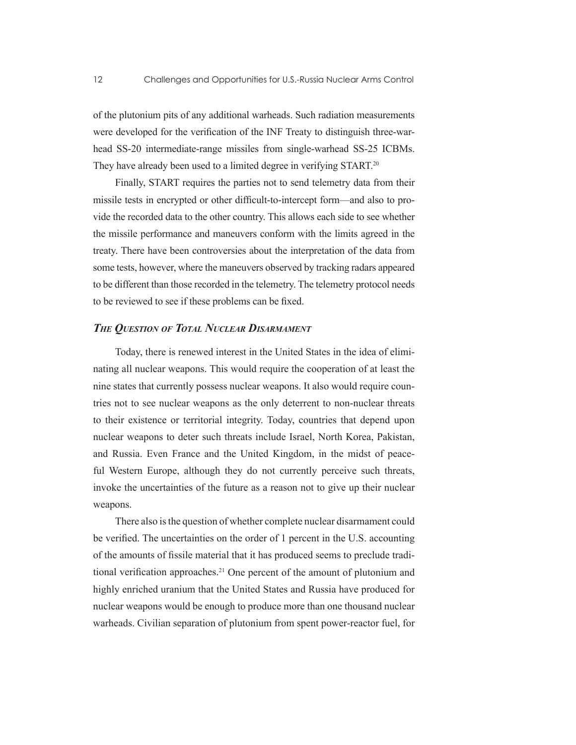of the plutonium pits of any additional warheads. Such radiation measurements were developed for the verification of the INF Treaty to distinguish three-warhead SS-20 intermediate-range missiles from single-warhead SS-25 ICBMs. They have already been used to a limited degree in verifying START.<sup>20</sup>

Finally, START requires the parties not to send telemetry data from their missile tests in encrypted or other difficult-to-intercept form—and also to provide the recorded data to the other country. This allows each side to see whether the missile performance and maneuvers conform with the limits agreed in the treaty. There have been controversies about the interpretation of the data from some tests, however, where the maneuvers observed by tracking radars appeared to be different than those recorded in the telemetry. The telemetry protocol needs to be reviewed to see if these problems can be fixed.

#### *The Question of Total Nuclear Disarmament*

Today, there is renewed interest in the United States in the idea of eliminating all nuclear weapons. This would require the cooperation of at least the nine states that currently possess nuclear weapons. It also would require countries not to see nuclear weapons as the only deterrent to non-nuclear threats to their existence or territorial integrity. Today, countries that depend upon nuclear weapons to deter such threats include Israel, North Korea, Pakistan, and Russia. Even France and the United Kingdom, in the midst of peaceful Western Europe, although they do not currently perceive such threats, invoke the uncertainties of the future as a reason not to give up their nuclear weapons.

There also is the question of whether complete nuclear disarmament could be verified. The uncertainties on the order of 1 percent in the U.S. accounting of the amounts of fissile material that it has produced seems to preclude traditional verification approaches.<sup>21</sup> One percent of the amount of plutonium and highly enriched uranium that the United States and Russia have produced for nuclear weapons would be enough to produce more than one thousand nuclear warheads. Civilian separation of plutonium from spent power-reactor fuel, for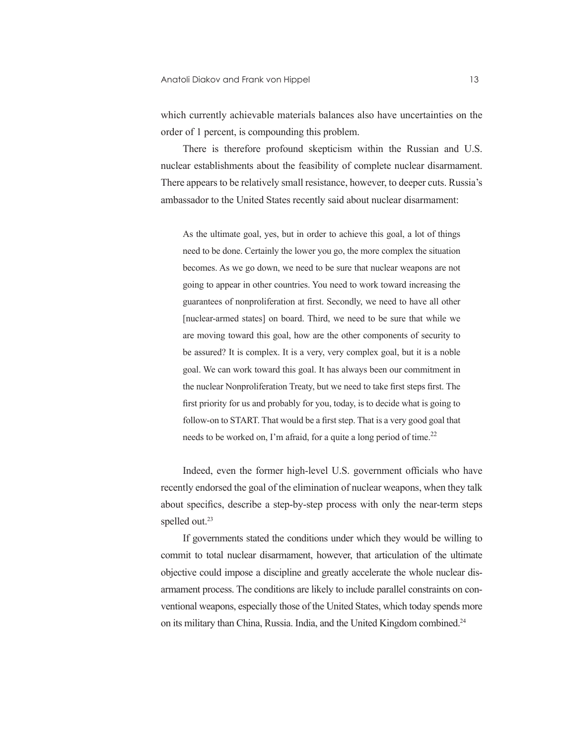which currently achievable materials balances also have uncertainties on the order of 1 percent, is compounding this problem.

There is therefore profound skepticism within the Russian and U.S. nuclear establishments about the feasibility of complete nuclear disarmament. There appears to be relatively small resistance, however, to deeper cuts. Russia's ambassador to the United States recently said about nuclear disarmament:

As the ultimate goal, yes, but in order to achieve this goal, a lot of things need to be done. Certainly the lower you go, the more complex the situation becomes. As we go down, we need to be sure that nuclear weapons are not going to appear in other countries. You need to work toward increasing the guarantees of nonproliferation at first. Secondly, we need to have all other [nuclear-armed states] on board. Third, we need to be sure that while we are moving toward this goal, how are the other components of security to be assured? It is complex. It is a very, very complex goal, but it is a noble goal. We can work toward this goal. It has always been our commitment in the nuclear Nonproliferation Treaty, but we need to take first steps first. The first priority for us and probably for you, today, is to decide what is going to follow-on to START. That would be a first step. That is a very good goal that needs to be worked on, I'm afraid, for a quite a long period of time.<sup>22</sup>

Indeed, even the former high-level U.S. government officials who have recently endorsed the goal of the elimination of nuclear weapons, when they talk about specifics, describe a step-by-step process with only the near-term steps spelled out.<sup>23</sup>

If governments stated the conditions under which they would be willing to commit to total nuclear disarmament, however, that articulation of the ultimate objective could impose a discipline and greatly accelerate the whole nuclear disarmament process. The conditions are likely to include parallel constraints on conventional weapons, especially those of the United States, which today spends more on its military than China, Russia. India, and the United Kingdom combined.24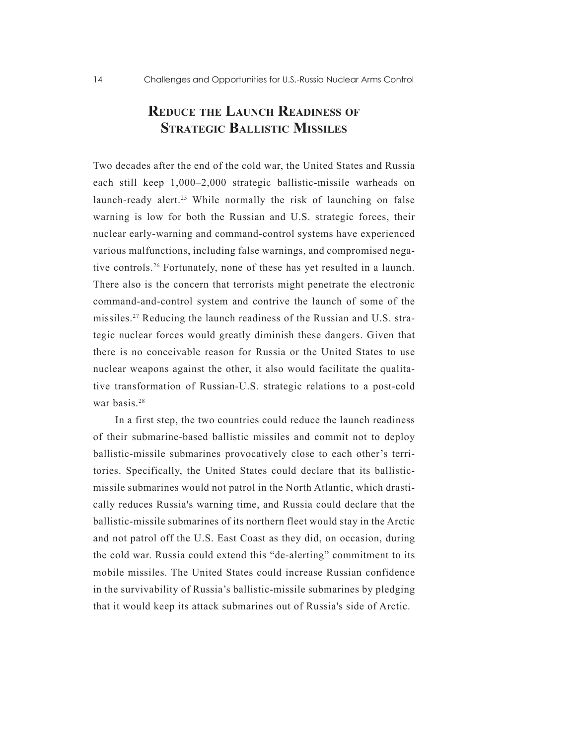# **Reduce the Launch Readiness of Strategic Ballistic Missiles**

Two decades after the end of the cold war, the United States and Russia each still keep 1,000–2,000 strategic ballistic-missile warheads on launch-ready alert.<sup>25</sup> While normally the risk of launching on false warning is low for both the Russian and U.S. strategic forces, their nuclear early-warning and command-control systems have experienced various malfunctions, including false warnings, and compromised negative controls.26 Fortunately, none of these has yet resulted in a launch. There also is the concern that terrorists might penetrate the electronic command-and-control system and contrive the launch of some of the missiles.27 Reducing the launch readiness of the Russian and U.S. strategic nuclear forces would greatly diminish these dangers. Given that there is no conceivable reason for Russia or the United States to use nuclear weapons against the other, it also would facilitate the qualitative transformation of Russian-U.S. strategic relations to a post-cold war basis<sup>28</sup>

In a first step, the two countries could reduce the launch readiness of their submarine-based ballistic missiles and commit not to deploy ballistic-missile submarines provocatively close to each other's territories. Specifically, the United States could declare that its ballisticmissile submarines would not patrol in the North Atlantic, which drastically reduces Russia's warning time, and Russia could declare that the ballistic-missile submarines of its northern fleet would stay in the Arctic and not patrol off the U.S. East Coast as they did, on occasion, during the cold war. Russia could extend this "de-alerting" commitment to its mobile missiles. The United States could increase Russian confidence in the survivability of Russia's ballistic-missile submarines by pledging that it would keep its attack submarines out of Russia's side of Arctic.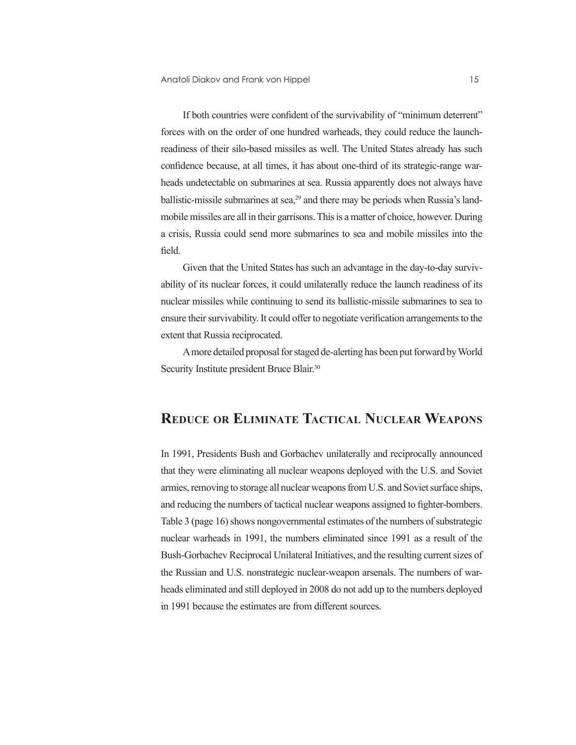If both countries were confident of the survivability of "minimum deterrent" forces with on the order of one hundred warheads, they could reduce the launchreadiness of their silo-based missiles as well. The United States already has such confidence because, at all times, it has about one-third of its strategic-range warheads undetectable on submarines at sea. Russia apparently does not always have ballistic-missile submarines at sea,<sup>29</sup> and there may be periods when Russia's landmobile missiles are all in their garrisons. This is a matter of choice, however. During a crisis, Russia could send more submarines to sea and mobile missiles into the field.

Given that the United States has such an advantage in the day-to-day survivability of its nuclear forces, it could unilaterally reduce the launch readiness of its nuclear missiles while continuing to send its ballistic-missile submarines to sea to ensure their survivability. It could offer to negotiate verification arrangements to the extent that Russia reciprocated.

A more detailed proposal for staged de-alerting has been put forward by World Security Institute president Bruce Blair.<sup>30</sup>

## **Reduce or Eliminate Tactical Nuclear Weapons**

In 1991, Presidents Bush and Gorbachev unilaterally and reciprocally announced that they were eliminating all nuclear weapons deployed with the U.S. and Soviet armies, removing to storage all nuclear weapons from U.S. and Soviet surface ships, and reducing the numbers of tactical nuclear weapons assigned to fighter-bombers. Table 3 (page 16) shows nongovernmental estimates of the numbers of substrategic nuclear warheads in 1991, the numbers eliminated since 1991 as a result of the Bush-Gorbachev Reciprocal Unilateral Initiatives, and the resulting current sizes of the Russian and U.S. nonstrategic nuclear-weapon arsenals. The numbers of warheads eliminated and still deployed in 2008 do not add up to the numbers deployed in 1991 because the estimates are from different sources.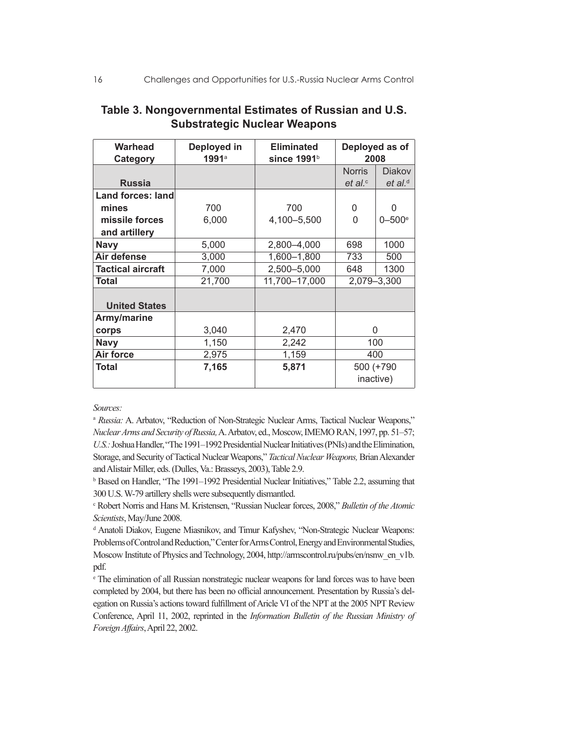| <b>Warhead</b><br>Category | Deployed in<br>1991a | <b>Eliminated</b><br>since 1991b |               | Deployed as of<br>2008 |
|----------------------------|----------------------|----------------------------------|---------------|------------------------|
|                            |                      |                                  | <b>Norris</b> | <b>Diakov</b>          |
| <b>Russia</b>              |                      |                                  | et al.        | $et$ al. <sup>d</sup>  |
| <b>Land forces: land</b>   |                      |                                  |               |                        |
| mines                      | 700                  | 700                              | 0             | O                      |
| missile forces             | 6,000                | 4,100-5,500                      | 0             | $0 - 500^{\circ}$      |
| and artillery              |                      |                                  |               |                        |
| <b>Navy</b>                | 5,000                | 2,800-4,000                      | 698           | 1000                   |
| Air defense                | 3,000                | 1,600-1,800                      | 733           | 500                    |
| <b>Tactical aircraft</b>   | 7,000                | 2,500-5,000                      | 648           | 1300                   |
| <b>Total</b>               | 21,700               | 11,700-17,000                    |               | 2,079-3,300            |
| <b>United States</b>       |                      |                                  |               |                        |
| Army/marine                |                      |                                  |               |                        |
| corps                      | 3,040                | 2,470                            |               | 0                      |
| <b>Navy</b>                | 1,150                | 2,242                            |               | 100                    |
| Air force                  | 2,975                | 1,159                            |               | 400                    |
| Total                      | 7,165                | 5,871                            |               | 500 (+790              |
|                            |                      |                                  |               | inactive)              |

### **Table 3. Nongovernmental Estimates of Russian and U.S. Substrategic Nuclear Weapons**

*Sources:*

<sup>a</sup> Russia: A. Arbatov, "Reduction of Non-Strategic Nuclear Arms, Tactical Nuclear Weapons," *Nuclear Arms and Security of Russia,* A. Arbatov, ed., Moscow, IMEMO RAN, 1997, pp. 51–57; *U.S.:* Joshua Handler, "The 1991–1992 Presidential Nuclear Initiatives (PNIs) and the Elimination, Storage, and Security of Tactical Nuclear Weapons," *Tactical Nuclear Weapons,* Brian Alexander and Alistair Miller, eds. (Dulles, Va.: Brasseys, 2003), Table 2.9.

<sup>b</sup> Based on Handler, "The 1991–1992 Presidential Nuclear Initiatives," Table 2.2, assuming that 300 U.S. W-79 artillery shells were subsequently dismantled.

c Robert Norris and Hans M. Kristensen, "Russian Nuclear forces, 2008," *Bulletin of the Atomic Scientists*, May/June 2008.

<sup>d</sup> Anatoli Diakov, Eugene Miasnikov, and Timur Kafyshev, "Non-Strategic Nuclear Weapons: Problems of Control and Reduction," Center for Arms Control, Energy and Environmental Studies, Moscow Institute of Physics and Technology, 2004, http://armscontrol.ru/pubs/en/nsnw\_en\_v1b. pdf.

e The elimination of all Russian nonstrategic nuclear weapons for land forces was to have been completed by 2004, but there has been no official announcement. Presentation by Russia's delegation on Russia's actions toward fulfillment of Aricle VI of the NPT at the 2005 NPT Review Conference, April 11, 2002, reprinted in the *Information Bulletin of the Russian Ministry of Foreign Affairs*, April 22, 2002.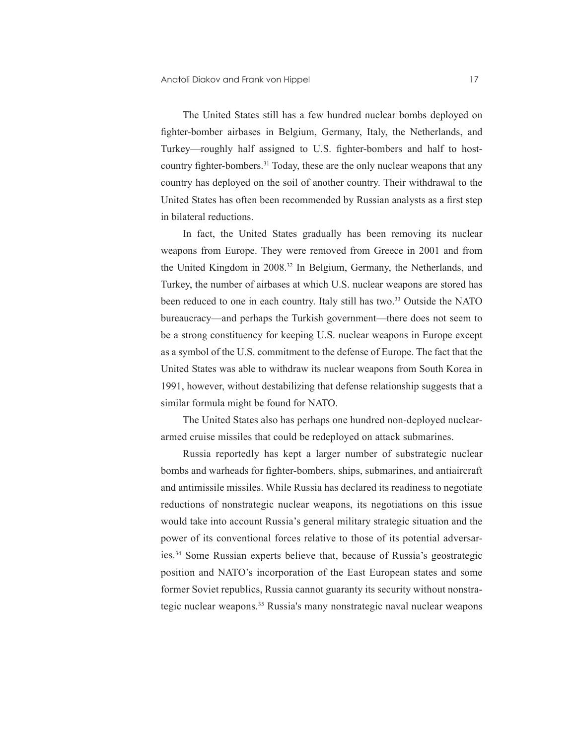The United States still has a few hundred nuclear bombs deployed on fighter-bomber airbases in Belgium, Germany, Italy, the Netherlands, and Turkey—roughly half assigned to U.S. fighter-bombers and half to hostcountry fighter-bombers.<sup>31</sup> Today, these are the only nuclear weapons that any country has deployed on the soil of another country. Their withdrawal to the United States has often been recommended by Russian analysts as a first step in bilateral reductions.

In fact, the United States gradually has been removing its nuclear weapons from Europe. They were removed from Greece in 2001 and from the United Kingdom in 2008.32 In Belgium, Germany, the Netherlands, and Turkey, the number of airbases at which U.S. nuclear weapons are stored has been reduced to one in each country. Italy still has two.<sup>33</sup> Outside the NATO bureaucracy—and perhaps the Turkish government—there does not seem to be a strong constituency for keeping U.S. nuclear weapons in Europe except as a symbol of the U.S. commitment to the defense of Europe. The fact that the United States was able to withdraw its nuclear weapons from South Korea in 1991, however, without destabilizing that defense relationship suggests that a similar formula might be found for NATO.

The United States also has perhaps one hundred non-deployed nucleararmed cruise missiles that could be redeployed on attack submarines.

Russia reportedly has kept a larger number of substrategic nuclear bombs and warheads for fighter-bombers, ships, submarines, and antiaircraft and antimissile missiles. While Russia has declared its readiness to negotiate reductions of nonstrategic nuclear weapons, its negotiations on this issue would take into account Russia's general military strategic situation and the power of its conventional forces relative to those of its potential adversaries.34 Some Russian experts believe that, because of Russia's geostrategic position and NATO's incorporation of the East European states and some former Soviet republics, Russia cannot guaranty its security without nonstrategic nuclear weapons.35 Russia's many nonstrategic naval nuclear weapons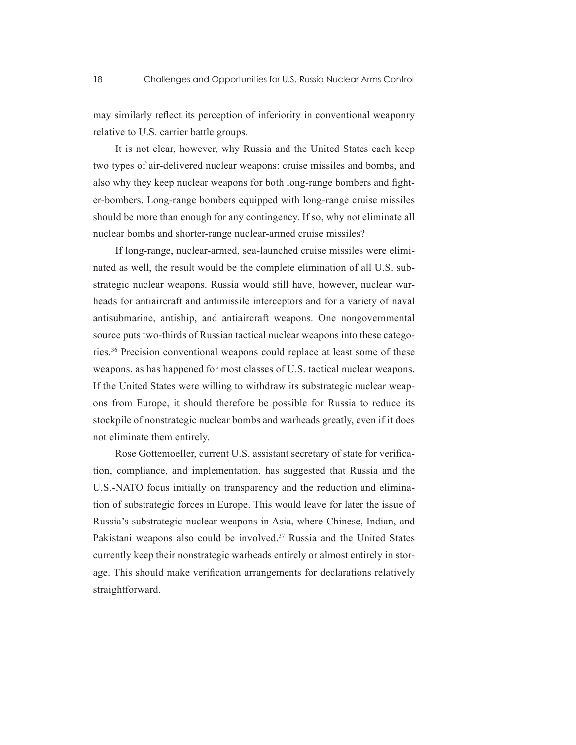may similarly reflect its perception of inferiority in conventional weaponry relative to U.S. carrier battle groups.

It is not clear, however, why Russia and the United States each keep two types of air-delivered nuclear weapons: cruise missiles and bombs, and also why they keep nuclear weapons for both long-range bombers and fighter-bombers. Long-range bombers equipped with long-range cruise missiles should be more than enough for any contingency. If so, why not eliminate all nuclear bombs and shorter-range nuclear-armed cruise missiles?

If long-range, nuclear-armed, sea-launched cruise missiles were eliminated as well, the result would be the complete elimination of all U.S. substrategic nuclear weapons. Russia would still have, however, nuclear warheads for antiaircraft and antimissile interceptors and for a variety of naval antisubmarine, antiship, and antiaircraft weapons. One nongovernmental source puts two-thirds of Russian tactical nuclear weapons into these categories.36 Precision conventional weapons could replace at least some of these weapons, as has happened for most classes of U.S. tactical nuclear weapons. If the United States were willing to withdraw its substrategic nuclear weapons from Europe, it should therefore be possible for Russia to reduce its stockpile of nonstrategic nuclear bombs and warheads greatly, even if it does not eliminate them entirely.

Rose Gottemoeller, current U.S. assistant secretary of state for verification, compliance, and implementation, has suggested that Russia and the U.S.-NATO focus initially on transparency and the reduction and elimination of substrategic forces in Europe. This would leave for later the issue of Russia's substrategic nuclear weapons in Asia, where Chinese, Indian, and Pakistani weapons also could be involved.<sup>37</sup> Russia and the United States currently keep their nonstrategic warheads entirely or almost entirely in storage. This should make verification arrangements for declarations relatively straightforward.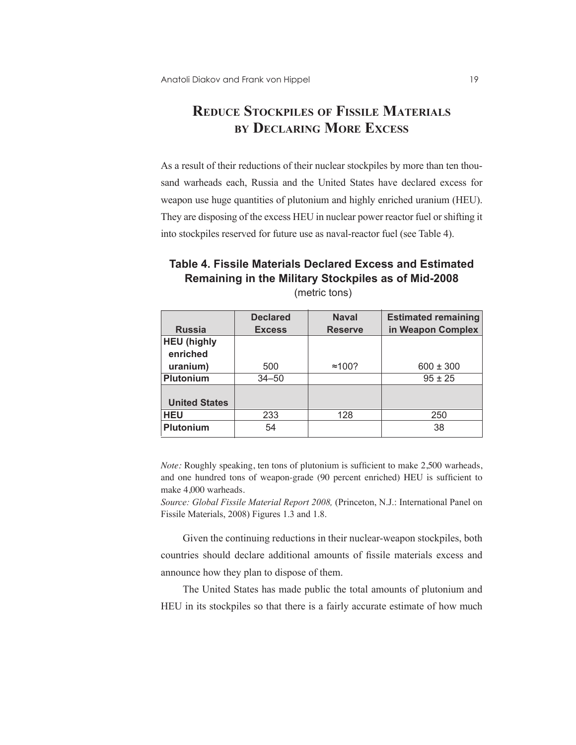# **Reduce Stockpiles of Fissile Materials by Declaring More Excess**

As a result of their reductions of their nuclear stockpiles by more than ten thousand warheads each, Russia and the United States have declared excess for weapon use huge quantities of plutonium and highly enriched uranium (HEU). They are disposing of the excess HEU in nuclear power reactor fuel or shifting it into stockpiles reserved for future use as naval-reactor fuel (see Table 4).

# **Table 4. Fissile Materials Declared Excess and Estimated Remaining in the Military Stockpiles as of Mid-2008**

|                      | <b>Declared</b> | <b>Naval</b>   | <b>Estimated remaining</b> |
|----------------------|-----------------|----------------|----------------------------|
| <b>Russia</b>        | <b>Excess</b>   | <b>Reserve</b> | in Weapon Complex          |
| <b>HEU (highly</b>   |                 |                |                            |
| enriched             |                 |                |                            |
| uranium)             | 500             | $\approx$ 100? | $600 \pm 300$              |
| <b>Plutonium</b>     | $34 - 50$       |                | $95 \pm 25$                |
|                      |                 |                |                            |
| <b>United States</b> |                 |                |                            |
| <b>HEU</b>           | 233             | 128            | 250                        |
| <b>Plutonium</b>     | 54              |                | 38                         |

(metric tons)

*Note:* Roughly speaking, ten tons of plutonium is sufficient to make 2,500 warheads, and one hundred tons of weapon-grade (90 percent enriched) HEU is sufficient to make 4,000 warheads.

*Source: Global Fissile Material Report 2008,* (Princeton, N.J.: International Panel on Fissile Materials, 2008) Figures 1.3 and 1.8.

Given the continuing reductions in their nuclear-weapon stockpiles, both countries should declare additional amounts of fissile materials excess and announce how they plan to dispose of them.

The United States has made public the total amounts of plutonium and HEU in its stockpiles so that there is a fairly accurate estimate of how much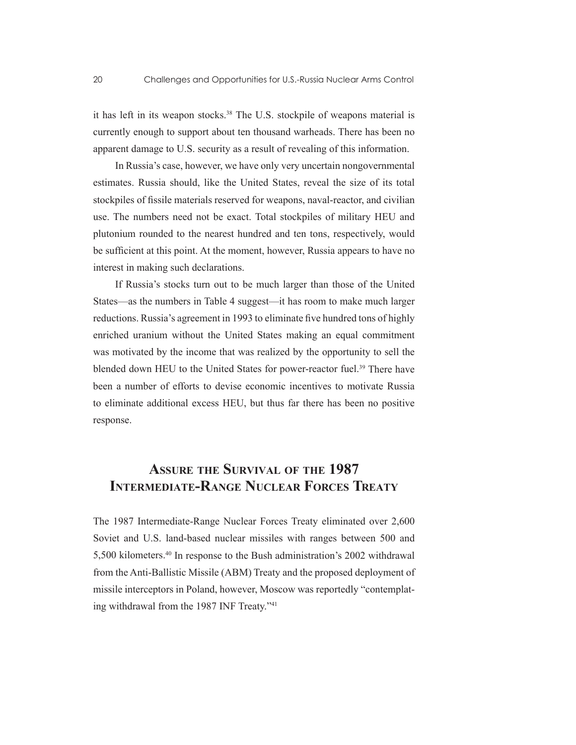it has left in its weapon stocks.<sup>38</sup> The U.S. stockpile of weapons material is currently enough to support about ten thousand warheads. There has been no apparent damage to U.S. security as a result of revealing of this information.

In Russia's case, however, we have only very uncertain nongovernmental estimates. Russia should, like the United States, reveal the size of its total stockpiles of fissile materials reserved for weapons, naval-reactor, and civilian use. The numbers need not be exact. Total stockpiles of military HEU and plutonium rounded to the nearest hundred and ten tons, respectively, would be sufficient at this point. At the moment, however, Russia appears to have no interest in making such declarations.

If Russia's stocks turn out to be much larger than those of the United States—as the numbers in Table 4 suggest—it has room to make much larger reductions. Russia's agreement in 1993 to eliminate five hundred tons of highly enriched uranium without the United States making an equal commitment was motivated by the income that was realized by the opportunity to sell the blended down HEU to the United States for power-reactor fuel.<sup>39</sup> There have been a number of efforts to devise economic incentives to motivate Russia to eliminate additional excess HEU, but thus far there has been no positive response.

## **Assure the Survival of the 1987 Intermediate-Range Nuclear Forces Treaty**

The 1987 Intermediate-Range Nuclear Forces Treaty eliminated over 2,600 Soviet and U.S. land-based nuclear missiles with ranges between 500 and 5,500 kilometers.40 In response to the Bush administration's 2002 withdrawal from the Anti-Ballistic Missile (ABM) Treaty and the proposed deployment of missile interceptors in Poland, however, Moscow was reportedly "contemplating withdrawal from the 1987 INF Treaty."41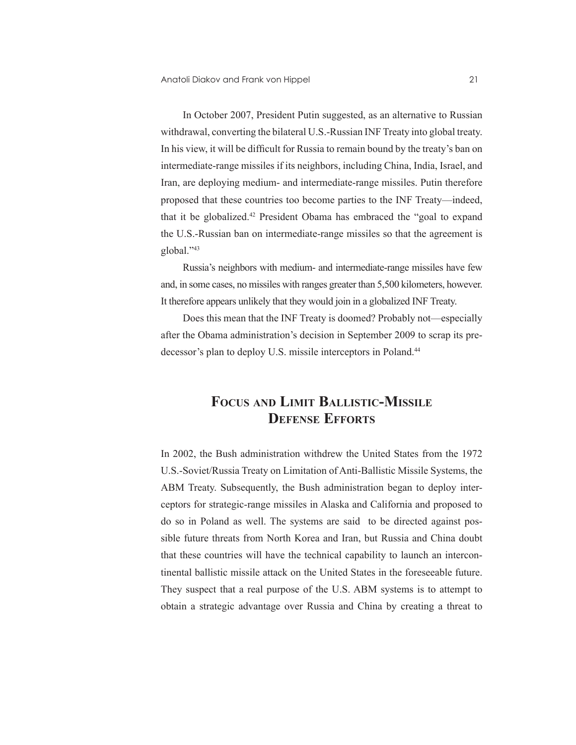In October 2007, President Putin suggested, as an alternative to Russian withdrawal, converting the bilateral U.S.-Russian INF Treaty into global treaty. In his view, it will be difficult for Russia to remain bound by the treaty's ban on intermediate-range missiles if its neighbors, including China, India, Israel, and Iran, are deploying medium- and intermediate-range missiles. Putin therefore proposed that these countries too become parties to the INF Treaty—indeed, that it be globalized.<sup>42</sup> President Obama has embraced the "goal to expand the U.S.-Russian ban on intermediate-range missiles so that the agreement is global."43

Russia's neighbors with medium- and intermediate-range missiles have few and, in some cases, no missiles with ranges greater than 5,500 kilometers, however. It therefore appears unlikely that they would join in a globalized INF Treaty.

Does this mean that the INF Treaty is doomed? Probably not—especially after the Obama administration's decision in September 2009 to scrap its predecessor's plan to deploy U.S. missile interceptors in Poland.<sup>44</sup>

## **Focus and Limit Ballistic-Missile Defense Efforts**

In 2002, the Bush administration withdrew the United States from the 1972 U.S.-Soviet/Russia Treaty on Limitation of Anti-Ballistic Missile Systems, the ABM Treaty. Subsequently, the Bush administration began to deploy interceptors for strategic-range missiles in Alaska and California and proposed to do so in Poland as well. The systems are said to be directed against possible future threats from North Korea and Iran, but Russia and China doubt that these countries will have the technical capability to launch an intercontinental ballistic missile attack on the United States in the foreseeable future. They suspect that a real purpose of the U.S. ABM systems is to attempt to obtain a strategic advantage over Russia and China by creating a threat to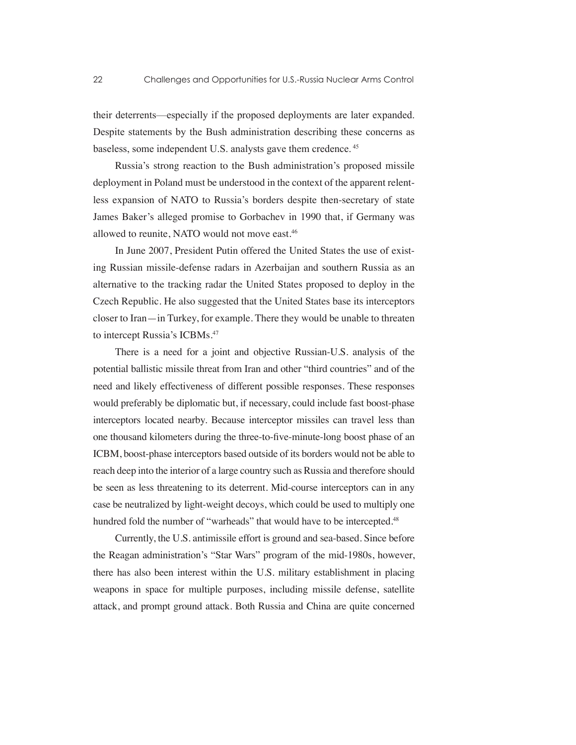their deterrents—especially if the proposed deployments are later expanded. Despite statements by the Bush administration describing these concerns as baseless, some independent U.S. analysts gave them credence. 45

Russia's strong reaction to the Bush administration's proposed missile deployment in Poland must be understood in the context of the apparent relentless expansion of NATO to Russia's borders despite then-secretary of state James Baker's alleged promise to Gorbachev in 1990 that, if Germany was allowed to reunite, NATO would not move east.<sup>46</sup>

In June 2007, President Putin offered the United States the use of existing Russian missile-defense radars in Azerbaijan and southern Russia as an alternative to the tracking radar the United States proposed to deploy in the Czech Republic. He also suggested that the United States base its interceptors closer to Iran—in Turkey, for example. There they would be unable to threaten to intercept Russia's ICBMs.<sup>47</sup>

There is a need for a joint and objective Russian-U.S. analysis of the potential ballistic missile threat from Iran and other "third countries" and of the need and likely effectiveness of different possible responses. These responses would preferably be diplomatic but, if necessary, could include fast boost-phase interceptors located nearby. Because interceptor missiles can travel less than one thousand kilometers during the three-to-five-minute-long boost phase of an ICBM, boost-phase interceptors based outside of its borders would not be able to reach deep into the interior of a large country such as Russia and therefore should be seen as less threatening to its deterrent. Mid-course interceptors can in any case be neutralized by light-weight decoys, which could be used to multiply one hundred fold the number of "warheads" that would have to be intercepted.<sup>48</sup>

Currently, the U.S. antimissile effort is ground and sea-based. Since before the Reagan administration's "Star Wars" program of the mid-1980s, however, there has also been interest within the U.S. military establishment in placing weapons in space for multiple purposes, including missile defense, satellite attack, and prompt ground attack. Both Russia and China are quite concerned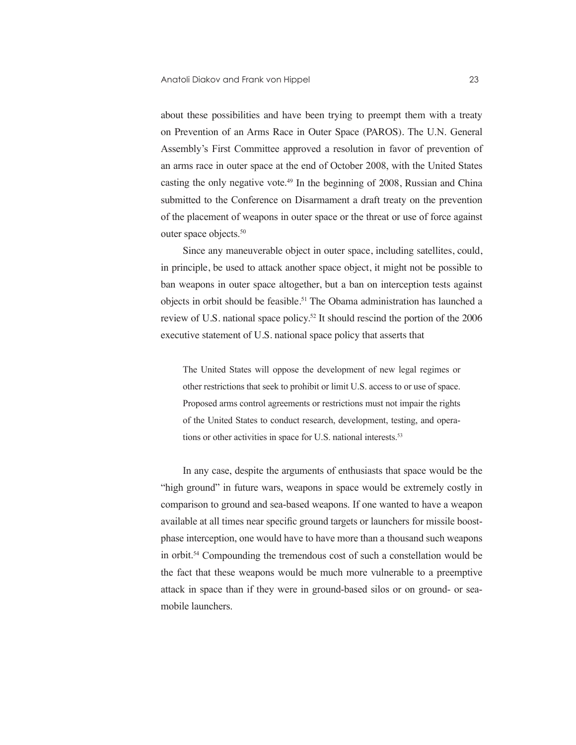about these possibilities and have been trying to preempt them with a treaty on Prevention of an Arms Race in Outer Space (PAROS). The U.N. General Assembly's First Committee approved a resolution in favor of prevention of an arms race in outer space at the end of October 2008, with the United States casting the only negative vote.<sup>49</sup> In the beginning of 2008, Russian and China submitted to the Conference on Disarmament a draft treaty on the prevention of the placement of weapons in outer space or the threat or use of force against outer space objects.50

Since any maneuverable object in outer space, including satellites, could, in principle, be used to attack another space object, it might not be possible to ban weapons in outer space altogether, but a ban on interception tests against objects in orbit should be feasible.<sup>51</sup> The Obama administration has launched a review of U.S. national space policy.52 It should rescind the portion of the 2006 executive statement of U.S. national space policy that asserts that

The United States will oppose the development of new legal regimes or other restrictions that seek to prohibit or limit U.S. access to or use of space. Proposed arms control agreements or restrictions must not impair the rights of the United States to conduct research, development, testing, and operations or other activities in space for U.S. national interests.<sup>53</sup>

In any case, despite the arguments of enthusiasts that space would be the "high ground" in future wars, weapons in space would be extremely costly in comparison to ground and sea-based weapons. If one wanted to have a weapon available at all times near specific ground targets or launchers for missile boostphase interception, one would have to have more than a thousand such weapons in orbit.54 Compounding the tremendous cost of such a constellation would be the fact that these weapons would be much more vulnerable to a preemptive attack in space than if they were in ground-based silos or on ground- or seamobile launchers.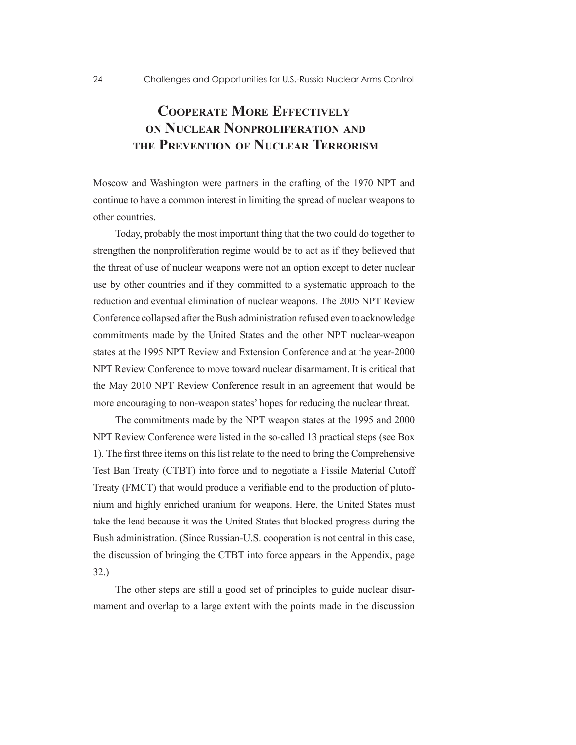# **Cooperate More Effectively on Nuclear Nonproliferation and the Prevention of Nuclear Terrorism**

Moscow and Washington were partners in the crafting of the 1970 NPT and continue to have a common interest in limiting the spread of nuclear weapons to other countries.

Today, probably the most important thing that the two could do together to strengthen the nonproliferation regime would be to act as if they believed that the threat of use of nuclear weapons were not an option except to deter nuclear use by other countries and if they committed to a systematic approach to the reduction and eventual elimination of nuclear weapons. The 2005 NPT Review Conference collapsed after the Bush administration refused even to acknowledge commitments made by the United States and the other NPT nuclear-weapon states at the 1995 NPT Review and Extension Conference and at the year-2000 NPT Review Conference to move toward nuclear disarmament. It is critical that the May 2010 NPT Review Conference result in an agreement that would be more encouraging to non-weapon states' hopes for reducing the nuclear threat.

The commitments made by the NPT weapon states at the 1995 and 2000 NPT Review Conference were listed in the so-called 13 practical steps (see Box 1). The first three items on this list relate to the need to bring the Comprehensive Test Ban Treaty (CTBT) into force and to negotiate a Fissile Material Cutoff Treaty (FMCT) that would produce a verifiable end to the production of plutonium and highly enriched uranium for weapons. Here, the United States must take the lead because it was the United States that blocked progress during the Bush administration. (Since Russian-U.S. cooperation is not central in this case, the discussion of bringing the CTBT into force appears in the Appendix, page 32.)

The other steps are still a good set of principles to guide nuclear disarmament and overlap to a large extent with the points made in the discussion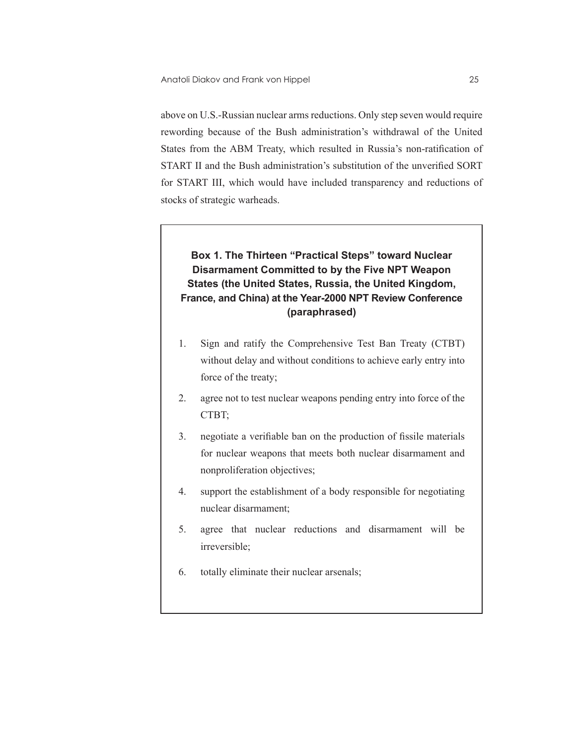above on U.S.-Russian nuclear arms reductions. Only step seven would require rewording because of the Bush administration's withdrawal of the United States from the ABM Treaty, which resulted in Russia's non-ratification of START II and the Bush administration's substitution of the unverified SORT for START III, which would have included transparency and reductions of stocks of strategic warheads.

### **Box 1. The Thirteen "Practical Steps" toward Nuclear Disarmament Committed to by the Five NPT Weapon States (the United States, Russia, the United Kingdom, France, and China) at the Year-2000 NPT Review Conference (paraphrased)**

- 1. Sign and ratify the Comprehensive Test Ban Treaty (CTBT) without delay and without conditions to achieve early entry into force of the treaty;
- 2. agree not to test nuclear weapons pending entry into force of the CTBT;
- 3. negotiate a verifiable ban on the production of fissile materials for nuclear weapons that meets both nuclear disarmament and nonproliferation objectives;
- 4. support the establishment of a body responsible for negotiating nuclear disarmament;
- 5. agree that nuclear reductions and disarmament will be irreversible;
- 6. totally eliminate their nuclear arsenals;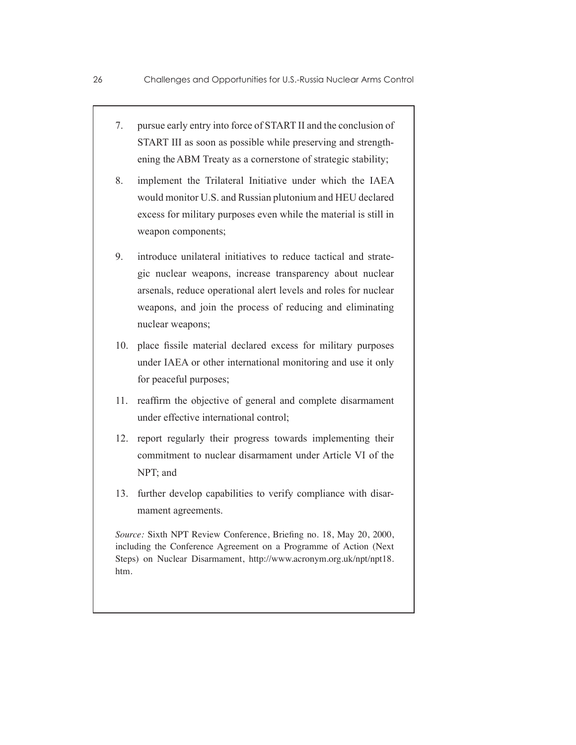- 7. pursue early entry into force of START II and the conclusion of START III as soon as possible while preserving and strengthening the ABM Treaty as a cornerstone of strategic stability;
- 8. implement the Trilateral Initiative under which the IAEA would monitor U.S. and Russian plutonium and HEU declared excess for military purposes even while the material is still in weapon components;
- 9. introduce unilateral initiatives to reduce tactical and strategic nuclear weapons, increase transparency about nuclear arsenals, reduce operational alert levels and roles for nuclear weapons, and join the process of reducing and eliminating nuclear weapons;
- 10. place fissile material declared excess for military purposes under IAEA or other international monitoring and use it only for peaceful purposes;
- 11. reaffirm the objective of general and complete disarmament under effective international control;
- 12. report regularly their progress towards implementing their commitment to nuclear disarmament under Article VI of the NPT; and
- 13. further develop capabilities to verify compliance with disarmament agreements.

*Source:* Sixth NPT Review Conference, Briefing no. 18, May 20, 2000, including the Conference Agreement on a Programme of Action (Next Steps) on Nuclear Disarmament, http://www.acronym.org.uk/npt/npt18. htm.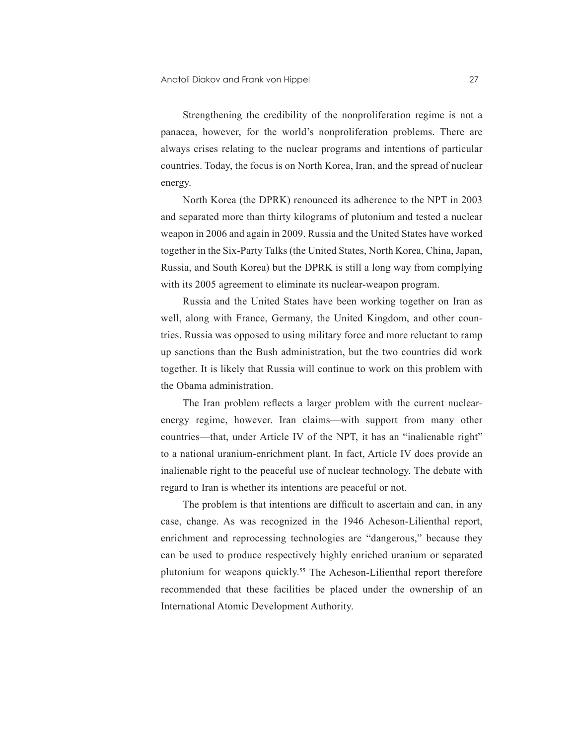Strengthening the credibility of the nonproliferation regime is not a panacea, however, for the world's nonproliferation problems. There are always crises relating to the nuclear programs and intentions of particular countries. Today, the focus is on North Korea, Iran, and the spread of nuclear energy.

North Korea (the DPRK) renounced its adherence to the NPT in 2003 and separated more than thirty kilograms of plutonium and tested a nuclear weapon in 2006 and again in 2009. Russia and the United States have worked together in the Six-Party Talks (the United States, North Korea, China, Japan, Russia, and South Korea) but the DPRK is still a long way from complying with its 2005 agreement to eliminate its nuclear-weapon program.

Russia and the United States have been working together on Iran as well, along with France, Germany, the United Kingdom, and other countries. Russia was opposed to using military force and more reluctant to ramp up sanctions than the Bush administration, but the two countries did work together. It is likely that Russia will continue to work on this problem with the Obama administration.

The Iran problem reflects a larger problem with the current nuclearenergy regime, however. Iran claims—with support from many other countries—that, under Article IV of the NPT, it has an "inalienable right" to a national uranium-enrichment plant. In fact, Article IV does provide an inalienable right to the peaceful use of nuclear technology. The debate with regard to Iran is whether its intentions are peaceful or not.

The problem is that intentions are difficult to ascertain and can, in any case, change. As was recognized in the 1946 Acheson-Lilienthal report, enrichment and reprocessing technologies are "dangerous," because they can be used to produce respectively highly enriched uranium or separated plutonium for weapons quickly.<sup>55</sup> The Acheson-Lilienthal report therefore recommended that these facilities be placed under the ownership of an International Atomic Development Authority.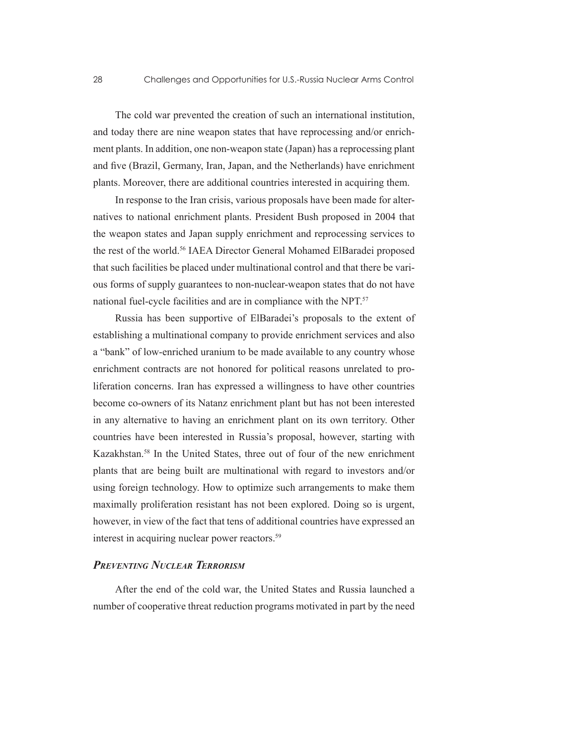The cold war prevented the creation of such an international institution, and today there are nine weapon states that have reprocessing and/or enrichment plants. In addition, one non-weapon state (Japan) has a reprocessing plant and five (Brazil, Germany, Iran, Japan, and the Netherlands) have enrichment plants. Moreover, there are additional countries interested in acquiring them.

In response to the Iran crisis, various proposals have been made for alternatives to national enrichment plants. President Bush proposed in 2004 that the weapon states and Japan supply enrichment and reprocessing services to the rest of the world.56 IAEA Director General Mohamed ElBaradei proposed that such facilities be placed under multinational control and that there be various forms of supply guarantees to non-nuclear-weapon states that do not have national fuel-cycle facilities and are in compliance with the NPT.57

Russia has been supportive of ElBaradei's proposals to the extent of establishing a multinational company to provide enrichment services and also a "bank" of low-enriched uranium to be made available to any country whose enrichment contracts are not honored for political reasons unrelated to proliferation concerns. Iran has expressed a willingness to have other countries become co-owners of its Natanz enrichment plant but has not been interested in any alternative to having an enrichment plant on its own territory. Other countries have been interested in Russia's proposal, however, starting with Kazakhstan.58 In the United States, three out of four of the new enrichment plants that are being built are multinational with regard to investors and/or using foreign technology. How to optimize such arrangements to make them maximally proliferation resistant has not been explored. Doing so is urgent, however, in view of the fact that tens of additional countries have expressed an interest in acquiring nuclear power reactors.<sup>59</sup>

#### *Preventing Nuclear Terrorism*

After the end of the cold war, the United States and Russia launched a number of cooperative threat reduction programs motivated in part by the need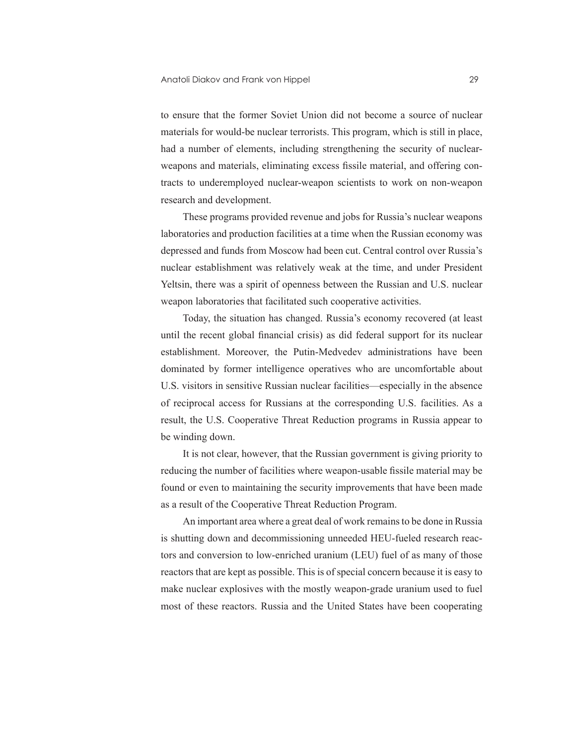to ensure that the former Soviet Union did not become a source of nuclear materials for would-be nuclear terrorists. This program, which is still in place, had a number of elements, including strengthening the security of nuclearweapons and materials, eliminating excess fissile material, and offering contracts to underemployed nuclear-weapon scientists to work on non-weapon research and development.

These programs provided revenue and jobs for Russia's nuclear weapons laboratories and production facilities at a time when the Russian economy was depressed and funds from Moscow had been cut. Central control over Russia's nuclear establishment was relatively weak at the time, and under President Yeltsin, there was a spirit of openness between the Russian and U.S. nuclear weapon laboratories that facilitated such cooperative activities.

Today, the situation has changed. Russia's economy recovered (at least until the recent global financial crisis) as did federal support for its nuclear establishment. Moreover, the Putin-Medvedev administrations have been dominated by former intelligence operatives who are uncomfortable about U.S. visitors in sensitive Russian nuclear facilities—especially in the absence of reciprocal access for Russians at the corresponding U.S. facilities. As a result, the U.S. Cooperative Threat Reduction programs in Russia appear to be winding down.

It is not clear, however, that the Russian government is giving priority to reducing the number of facilities where weapon-usable fissile material may be found or even to maintaining the security improvements that have been made as a result of the Cooperative Threat Reduction Program.

An important area where a great deal of work remains to be done in Russia is shutting down and decommissioning unneeded HEU-fueled research reactors and conversion to low-enriched uranium (LEU) fuel of as many of those reactors that are kept as possible. This is of special concern because it is easy to make nuclear explosives with the mostly weapon-grade uranium used to fuel most of these reactors. Russia and the United States have been cooperating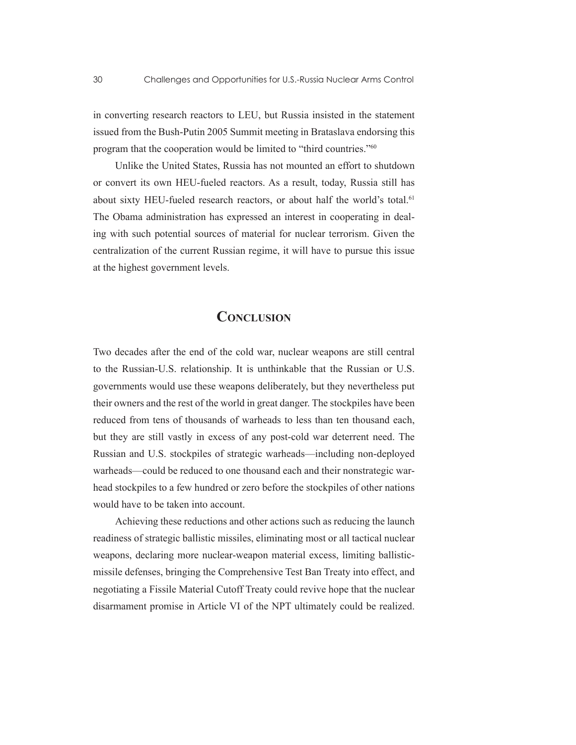in converting research reactors to LEU, but Russia insisted in the statement issued from the Bush-Putin 2005 Summit meeting in Brataslava endorsing this program that the cooperation would be limited to "third countries."60

Unlike the United States, Russia has not mounted an effort to shutdown or convert its own HEU-fueled reactors. As a result, today, Russia still has about sixty HEU-fueled research reactors, or about half the world's total.<sup>61</sup> The Obama administration has expressed an interest in cooperating in dealing with such potential sources of material for nuclear terrorism. Given the centralization of the current Russian regime, it will have to pursue this issue at the highest government levels.

## **CONCLUSION**

Two decades after the end of the cold war, nuclear weapons are still central to the Russian-U.S. relationship. It is unthinkable that the Russian or U.S. governments would use these weapons deliberately, but they nevertheless put their owners and the rest of the world in great danger. The stockpiles have been reduced from tens of thousands of warheads to less than ten thousand each, but they are still vastly in excess of any post-cold war deterrent need. The Russian and U.S. stockpiles of strategic warheads—including non-deployed warheads—could be reduced to one thousand each and their nonstrategic warhead stockpiles to a few hundred or zero before the stockpiles of other nations would have to be taken into account.

Achieving these reductions and other actions such as reducing the launch readiness of strategic ballistic missiles, eliminating most or all tactical nuclear weapons, declaring more nuclear-weapon material excess, limiting ballisticmissile defenses, bringing the Comprehensive Test Ban Treaty into effect, and negotiating a Fissile Material Cutoff Treaty could revive hope that the nuclear disarmament promise in Article VI of the NPT ultimately could be realized.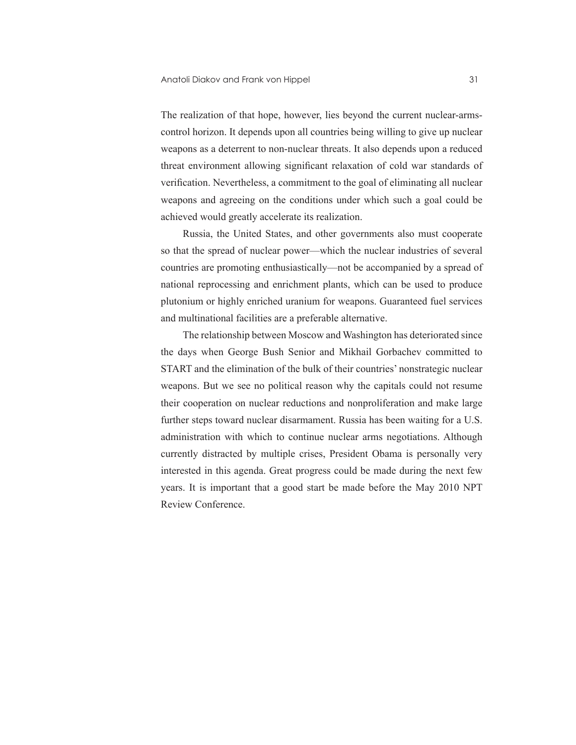The realization of that hope, however, lies beyond the current nuclear-armscontrol horizon. It depends upon all countries being willing to give up nuclear weapons as a deterrent to non-nuclear threats. It also depends upon a reduced threat environment allowing significant relaxation of cold war standards of verification. Nevertheless, a commitment to the goal of eliminating all nuclear weapons and agreeing on the conditions under which such a goal could be achieved would greatly accelerate its realization.

Russia, the United States, and other governments also must cooperate so that the spread of nuclear power—which the nuclear industries of several countries are promoting enthusiastically—not be accompanied by a spread of national reprocessing and enrichment plants, which can be used to produce plutonium or highly enriched uranium for weapons. Guaranteed fuel services and multinational facilities are a preferable alternative.

The relationship between Moscow and Washington has deteriorated since the days when George Bush Senior and Mikhail Gorbachev committed to START and the elimination of the bulk of their countries' nonstrategic nuclear weapons. But we see no political reason why the capitals could not resume their cooperation on nuclear reductions and nonproliferation and make large further steps toward nuclear disarmament. Russia has been waiting for a U.S. administration with which to continue nuclear arms negotiations. Although currently distracted by multiple crises, President Obama is personally very interested in this agenda. Great progress could be made during the next few years. It is important that a good start be made before the May 2010 NPT Review Conference.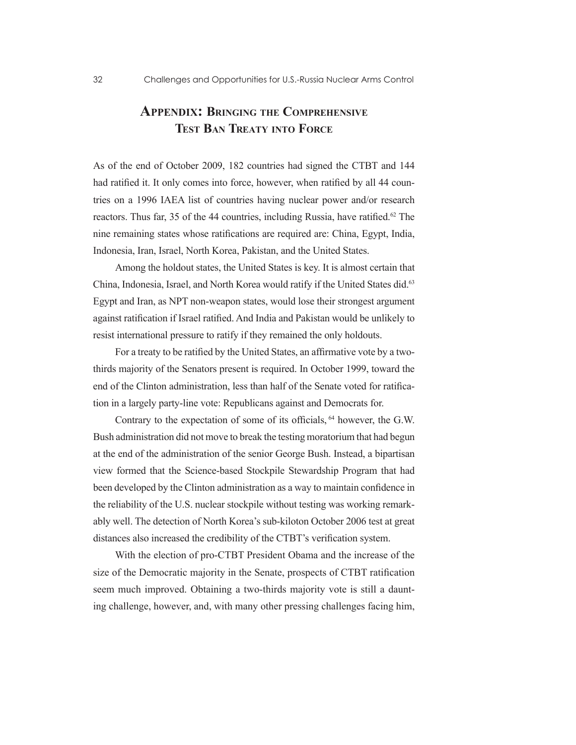## **Appendix: Bringing the Comprehensive Test Ban Treaty into Force**

As of the end of October 2009, 182 countries had signed the CTBT and 144 had ratified it. It only comes into force, however, when ratified by all 44 countries on a 1996 IAEA list of countries having nuclear power and/or research reactors. Thus far, 35 of the 44 countries, including Russia, have ratified.<sup>62</sup> The nine remaining states whose ratifications are required are: China, Egypt, India, Indonesia, Iran, Israel, North Korea, Pakistan, and the United States.

Among the holdout states, the United States is key. It is almost certain that China, Indonesia, Israel, and North Korea would ratify if the United States did.63 Egypt and Iran, as NPT non-weapon states, would lose their strongest argument against ratification if Israel ratified. And India and Pakistan would be unlikely to resist international pressure to ratify if they remained the only holdouts.

For a treaty to be ratified by the United States, an affirmative vote by a twothirds majority of the Senators present is required. In October 1999, toward the end of the Clinton administration, less than half of the Senate voted for ratification in a largely party-line vote: Republicans against and Democrats for.

Contrary to the expectation of some of its officials, <sup>64</sup> however, the G.W. Bush administration did not move to break the testing moratorium that had begun at the end of the administration of the senior George Bush. Instead, a bipartisan view formed that the Science-based Stockpile Stewardship Program that had been developed by the Clinton administration as a way to maintain confidence in the reliability of the U.S. nuclear stockpile without testing was working remarkably well. The detection of North Korea's sub-kiloton October 2006 test at great distances also increased the credibility of the CTBT's verification system.

With the election of pro-CTBT President Obama and the increase of the size of the Democratic majority in the Senate, prospects of CTBT ratification seem much improved. Obtaining a two-thirds majority vote is still a daunting challenge, however, and, with many other pressing challenges facing him,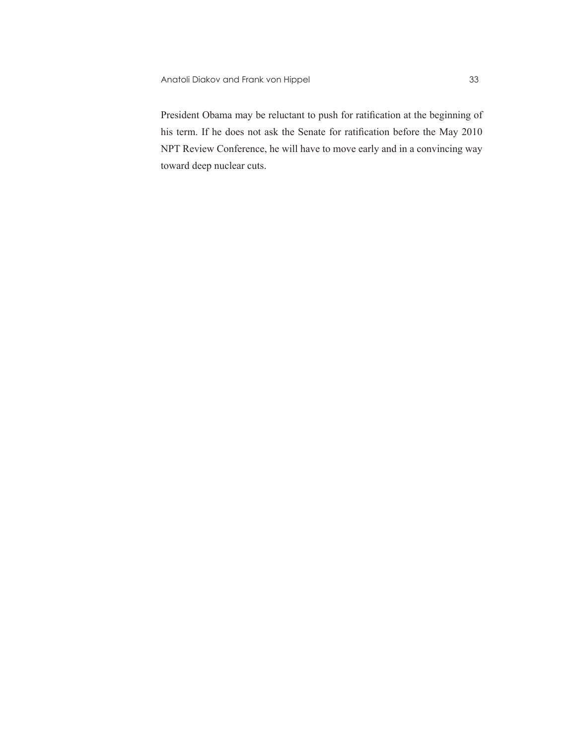President Obama may be reluctant to push for ratification at the beginning of his term. If he does not ask the Senate for ratification before the May 2010 NPT Review Conference, he will have to move early and in a convincing way toward deep nuclear cuts.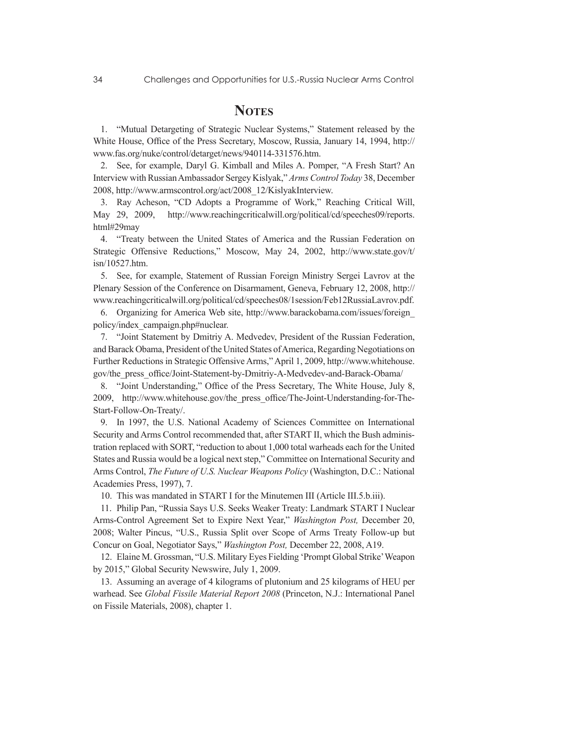## **NOTES**

1. "Mutual Detargeting of Strategic Nuclear Systems," Statement released by the White House, Office of the Press Secretary, Moscow, Russia, January 14, 1994, http:// www.fas.org/nuke/control/detarget/news/940114-331576.htm.

2. See, for example, Daryl G. Kimball and Miles A. Pomper, "A Fresh Start? An Interview with Russian Ambassador Sergey Kislyak," *Arms Control Today* 38, December 2008, http://www.armscontrol.org/act/2008\_12/KislyakInterview.

3. Ray Acheson, "CD Adopts a Programme of Work," Reaching Critical Will, May 29, 2009, http://www.reachingcriticalwill.org/political/cd/speeches09/reports. html#29may

4. "Treaty between the United States of America and the Russian Federation on Strategic Offensive Reductions," Moscow, May 24, 2002, http://www.state.gov/t/ isn/10527.htm.

5. See, for example, Statement of Russian Foreign Ministry Sergei Lavrov at the Plenary Session of the Conference on Disarmament, Geneva, February 12, 2008, http:// www.reachingcriticalwill.org/political/cd/speeches08/1session/Feb12RussiaLavrov.pdf.

6. Organizing for America Web site, http://www.barackobama.com/issues/foreign\_ policy/index\_campaign.php#nuclear.

7. "Joint Statement by Dmitriy A. Medvedev, President of the Russian Federation, and Barack Obama, President of the United States of America, Regarding Negotiations on Further Reductions in Strategic Offensive Arms," April 1, 2009, http://www.whitehouse. gov/the\_press\_office/Joint-Statement-by-Dmitriy-A-Medvedev-and-Barack-Obama/

8. "Joint Understanding," Office of the Press Secretary, The White House, July 8, 2009, http://www.whitehouse.gov/the\_press\_office/The-Joint-Understanding-for-The-Start-Follow-On-Treaty/.

9. In 1997, the U.S. National Academy of Sciences Committee on International Security and Arms Control recommended that, after START II, which the Bush administration replaced with SORT, "reduction to about 1,000 total warheads each for the United States and Russia would be a logical next step," Committee on International Security and Arms Control, *The Future of U.S. Nuclear Weapons Policy* (Washington, D.C.: National Academies Press, 1997), 7.

10. This was mandated in START I for the Minutemen III (Article III.5.b.iii).

11. Philip Pan, "Russia Says U.S. Seeks Weaker Treaty: Landmark START I Nuclear Arms-Control Agreement Set to Expire Next Year," *Washington Post,* December 20, 2008; Walter Pincus, "U.S., Russia Split over Scope of Arms Treaty Follow-up but Concur on Goal, Negotiator Says," *Washington Post,* December 22, 2008, A19.

12. Elaine M. Grossman, "U.S. Military Eyes Fielding 'Prompt Global Strike' Weapon by 2015," Global Security Newswire, July 1, 2009.

13. Assuming an average of 4 kilograms of plutonium and 25 kilograms of HEU per warhead. See *Global Fissile Material Report 2008* (Princeton, N.J.: International Panel on Fissile Materials, 2008), chapter 1.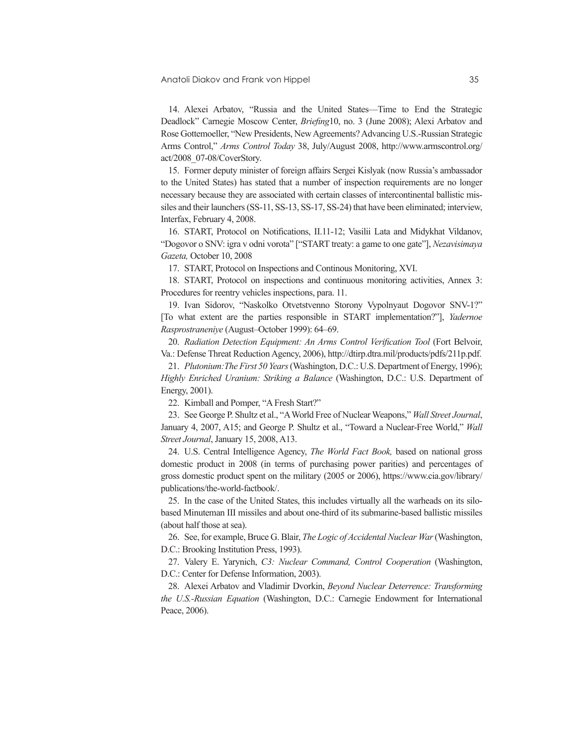14. Alexei Arbatov, "Russia and the United States—Time to End the Strategic Deadlock" Carnegie Moscow Center, *Briefing*10, no. 3 (June 2008); Alexi Arbatov and Rose Gottemoeller, "New Presidents, New Agreements? Advancing U.S.-Russian Strategic Arms Control," *Arms Control Today* 38, July/August 2008, http://www.armscontrol.org/ act/2008\_07-08/CoverStory.

15. Former deputy minister of foreign affairs Sergei Kislyak (now Russia's ambassador to the United States) has stated that a number of inspection requirements are no longer necessary because they are associated with certain classes of intercontinental ballistic missiles and their launchers (SS-11, SS-13, SS-17, SS-24) that have been eliminated; interview, Interfax, February 4, 2008.

16. START, Protocol on Notifications, II.11-12; Vasilii Lata and Midykhat Vildanov, "Dogovor o SNV: igra v odni vorota" ["START treaty: a game to one gate"], *Nezavisimaya Gazeta,* October 10, 2008

17. START, Protocol on Inspections and Continous Monitoring, XVI.

18. START, Protocol on inspections and continuous monitoring activities, Annex 3: Procedures for reentry vehicles inspections, para. 11.

19. Ivan Sidorov, "Naskolko Otvetstvenno Storony Vypolnyaut Dogovor SNV-1?" [To what extent are the parties responsible in START implementation?"], *Yadernoe Rasprostraneniye* (August–October 1999): 64–69.

20. *Radiation Detection Equipment: An Arms Control Verification Tool* (Fort Belvoir, Va.: Defense Threat Reduction Agency, 2006), http://dtirp.dtra.mil/products/pdfs/211p.pdf.

21. *Plutonium:The First 50 Years* (Washington, D.C.: U.S. Department of Energy, 1996); *Highly Enriched Uranium: Striking a Balance* (Washington, D.C.: U.S. Department of Energy, 2001).

22. Kimball and Pomper, "A Fresh Start?"

23. See George P. Shultz et al., "A World Free of Nuclear Weapons," *Wall Street Journal*, January 4, 2007, A15; and George P. Shultz et al., "Toward a Nuclear-Free World," *Wall Street Journal*, January 15, 2008, A13.

24. U.S. Central Intelligence Agency, *The World Fact Book,* based on national gross domestic product in 2008 (in terms of purchasing power parities) and percentages of gross domestic product spent on the military (2005 or 2006), https://www.cia.gov/library/ publications/the-world-factbook/.

25. In the case of the United States, this includes virtually all the warheads on its silobased Minuteman III missiles and about one-third of its submarine-based ballistic missiles (about half those at sea).

26. See, for example, Bruce G. Blair, *The Logic of Accidental Nuclear War* (Washington, D.C.: Brooking Institution Press, 1993).

27. Valery E. Yarynich, *C3: Nuclear Command, Control Cooperation* (Washington, D.C.: Center for Defense Information, 2003).

28. Alexei Arbatov and Vladimir Dvorkin, *Beyond Nuclear Deterrence: Transforming the U.S.-Russian Equation* (Washington, D.C.: Carnegie Endowment for International Peace, 2006).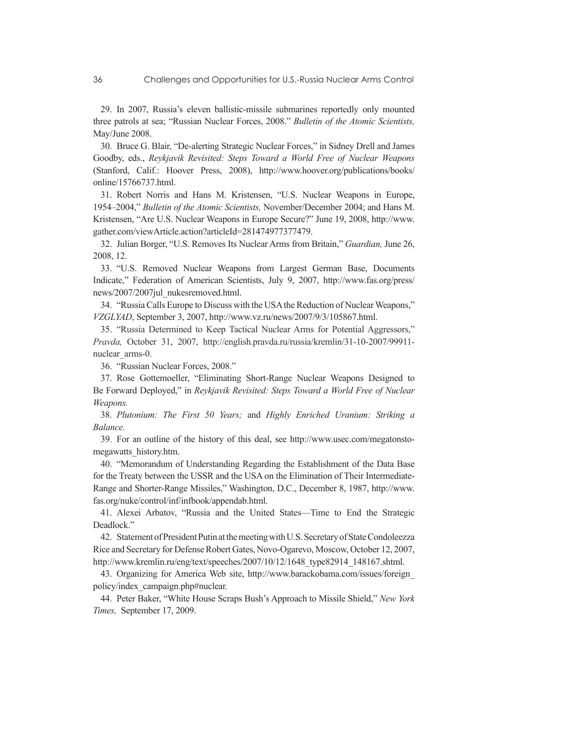29. In 2007, Russia's eleven ballistic-missile submarines reportedly only mounted three patrols at sea; "Russian Nuclear Forces, 2008." *Bulletin of the Atomic Scientists,* May/June 2008.

30. Bruce G. Blair, "De-alerting Strategic Nuclear Forces," in Sidney Drell and James Goodby, eds., *Reykjavik Revisited: Steps Toward a World Free of Nuclear Weapons*  (Stanford, Calif.: Hoover Press, 2008), http://www.hoover.org/publications/books/ online/15766737.html.

31. Robert Norris and Hans M. Kristensen, "U.S. Nuclear Weapons in Europe, 1954–2004," *Bulletin of the Atomic Scientists,* November/December 2004; and Hans M. Kristensen, "Are U.S. Nuclear Weapons in Europe Secure?" June 19, 2008, http://www. gather.com/viewArticle.action?articleId=281474977377479.

32. Julian Borger, "U.S. Removes Its Nuclear Arms from Britain," *Guardian,* June 26, 2008, 12.

33. "U.S. Removed Nuclear Weapons from Largest German Base, Documents Indicate," Federation of American Scientists, July 9, 2007, http://www.fas.org/press/ news/2007/2007jul\_nukesremoved.html.

34. "Russia Calls Europe to Discuss with the USA the Reduction of Nuclear Weapons," *VZGLYAD*, September 3, 2007, http://www.vz.ru/news/2007/9/3/105867.html.

35. "Russia Determined to Keep Tactical Nuclear Arms for Potential Aggressors," *Pravda,* October 31, 2007, http://english.pravda.ru/russia/kremlin/31-10-2007/99911 nuclear\_arms-0.

36. "Russian Nuclear Forces, 2008."

37. Rose Gottemoeller, "Eliminating Short-Range Nuclear Weapons Designed to Be Forward Deployed," in *Reykjavik Revisited: Steps Toward a World Free of Nuclear Weapons.*

38. *Plutonium: The First 50 Years;* and *Highly Enriched Uranium: Striking a Balance.*

39. For an outline of the history of this deal, see http://www.usec.com/megatonstomegawatts\_history.htm.

40. "Memorandum of Understanding Regarding the Establishment of the Data Base for the Treaty between the USSR and the USA on the Elimination of Their Intermediate-Range and Shorter-Range Missiles," Washington, D.C., December 8, 1987, http://www. fas.org/nuke/control/inf/infbook/appendab.html.

41. Alexei Arbatov, "Russia and the United States—Time to End the Strategic Deadlock."

42. Statement of President Putin at the meeting with U.S. Secretary of State Condoleezza Rice and Secretary for Defense Robert Gates, Novo-Ogarevo, Moscow, October 12, 2007, http://www.kremlin.ru/eng/text/speeches/2007/10/12/1648\_type82914\_148167.shtml.

43. Organizing for America Web site, http://www.barackobama.com/issues/foreign\_ policy/index\_campaign.php#nuclear.

44. Peter Baker, "White House Scraps Bush's Approach to Missile Shield," *New York Times,* September 17, 2009.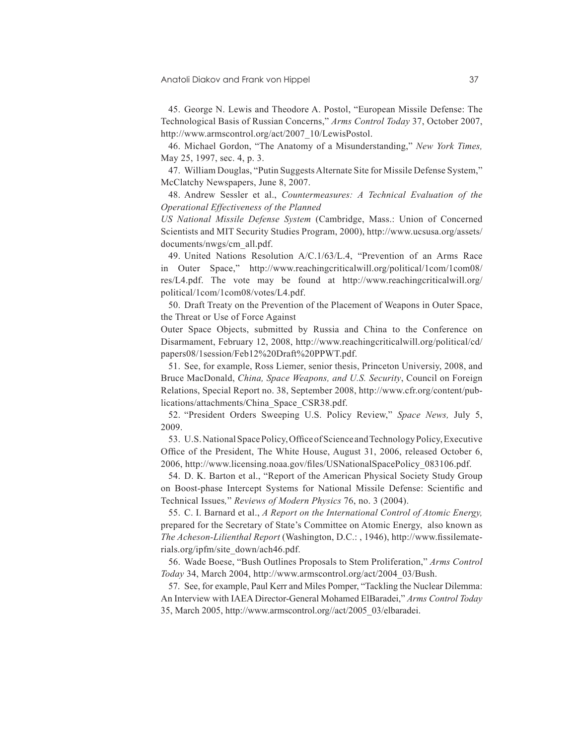#### Anatoli Diakov and Frank von Hippel 37

45. George N. Lewis and Theodore A. Postol, "European Missile Defense: The Technological Basis of Russian Concerns," *Arms Control Today* 37, October 2007, http://www.armscontrol.org/act/2007\_10/LewisPostol.

46. Michael Gordon, "The Anatomy of a Misunderstanding," *New York Times,*  May 25, 1997, sec. 4, p. 3.

47. William Douglas, "Putin Suggests Alternate Site for Missile Defense System," McClatchy Newspapers, June 8, 2007.

48. Andrew Sessler et al., *Countermeasures: A Technical Evaluation of the Operational Effectiveness of the Planned*

*US National Missile Defense System* (Cambridge, Mass.: Union of Concerned Scientists and MIT Security Studies Program, 2000), http://www.ucsusa.org/assets/ documents/nwgs/cm\_all.pdf.

49. United Nations Resolution A/C.1/63/L.4, "Prevention of an Arms Race in Outer Space," http://www.reachingcriticalwill.org/political/1com/1com08/ res/L4.pdf. The vote may be found at http://www.reachingcriticalwill.org/ political/1com/1com08/votes/L4.pdf.

50. Draft Treaty on the Prevention of the Placement of Weapons in Outer Space, the Threat or Use of Force Against

Outer Space Objects, submitted by Russia and China to the Conference on Disarmament, February 12, 2008, http://www.reachingcriticalwill.org/political/cd/ papers08/1session/Feb12%20Draft%20PPWT.pdf.

51. See, for example, Ross Liemer, senior thesis, Princeton Universiy, 2008, and Bruce MacDonald, *China, Space Weapons, and U.S. Security*, Council on Foreign Relations, Special Report no. 38, September 2008, http://www.cfr.org/content/publications/attachments/China\_Space\_CSR38.pdf.

52. "President Orders Sweeping U.S. Policy Review," *Space News,* July 5, 2009.

53. U.S. National Space Policy, Office of Science and Technology Policy, Executive Office of the President, The White House, August 31, 2006, released October 6, 2006, http://www.licensing.noaa.gov/files/USNationalSpacePolicy\_083106.pdf.

54. D. K. Barton et al., "Report of the American Physical Society Study Group on Boost-phase Intercept Systems for National Missile Defense: Scientific and Technical Issues*,*" *Reviews of Modern Physics* 76, no. 3 (2004).

55. C. I. Barnard et al., *A Report on the International Control of Atomic Energy,* prepared for the Secretary of State's Committee on Atomic Energy, also known as *The Acheson-Lilienthal Report* (Washington, D.C.: , 1946), http://www.fissilematerials.org/ipfm/site\_down/ach46.pdf.

56. Wade Boese, "Bush Outlines Proposals to Stem Proliferation," *Arms Control Today* 34, March 2004, http://www.armscontrol.org/act/2004\_03/Bush.

57. See, for example, Paul Kerr and Miles Pomper, "Tackling the Nuclear Dilemma: An Interview with IAEA Director-General Mohamed ElBaradei," *Arms Control Today* 35, March 2005, http://www.armscontrol.org//act/2005\_03/elbaradei.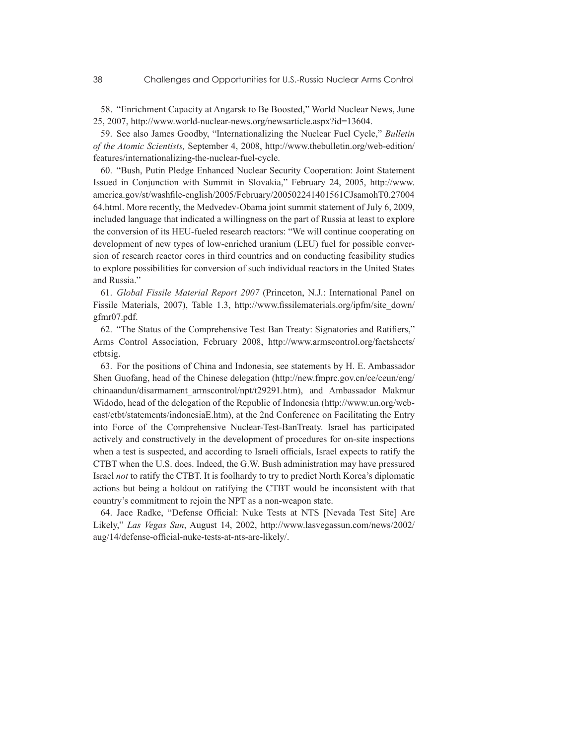58. "Enrichment Capacity at Angarsk to Be Boosted," World Nuclear News, June 25, 2007, http://www.world-nuclear-news.org/newsarticle.aspx?id=13604.

59. See also James Goodby, "Internationalizing the Nuclear Fuel Cycle," *Bulletin of the Atomic Scientists,* September 4, 2008, http://www.thebulletin.org/web-edition/ features/internationalizing-the-nuclear-fuel-cycle.

60. "Bush, Putin Pledge Enhanced Nuclear Security Cooperation: Joint Statement Issued in Conjunction with Summit in Slovakia," February 24, 2005, http://www. america.gov/st/washfile-english/2005/February/200502241401561CJsamohT0.27004 64.html. More recently, the Medvedev-Obama joint summit statement of July 6, 2009, included language that indicated a willingness on the part of Russia at least to explore the conversion of its HEU-fueled research reactors: "We will continue cooperating on development of new types of low-enriched uranium (LEU) fuel for possible conversion of research reactor cores in third countries and on conducting feasibility studies to explore possibilities for conversion of such individual reactors in the United States and Russia."

61. *Global Fissile Material Report 2007* (Princeton, N.J.: International Panel on Fissile Materials, 2007), Table 1.3, http://www.fissilematerials.org/ipfm/site\_down/ gfmr07.pdf.

62. "The Status of the Comprehensive Test Ban Treaty: Signatories and Ratifiers," Arms Control Association, February 2008, http://www.armscontrol.org/factsheets/ ctbtsig.

63. For the positions of China and Indonesia, see statements by H. E. Ambassador Shen Guofang, head of the Chinese delegation (http://new.fmprc.gov.cn/ce/ceun/eng/ chinaandun/disarmament\_armscontrol/npt/t29291.htm), and Ambassador Makmur Widodo, head of the delegation of the Republic of Indonesia (http://www.un.org/webcast/ctbt/statements/indonesiaE.htm), at the 2nd Conference on Facilitating the Entry into Force of the Comprehensive Nuclear-Test-BanTreaty. Israel has participated actively and constructively in the development of procedures for on-site inspections when a test is suspected, and according to Israeli officials, Israel expects to ratify the CTBT when the U.S. does. Indeed, the G.W. Bush administration may have pressured Israel *not* to ratify the CTBT. It is foolhardy to try to predict North Korea's diplomatic actions but being a holdout on ratifying the CTBT would be inconsistent with that country's commitment to rejoin the NPT as a non-weapon state.

64. Jace Radke, "Defense Official: Nuke Tests at NTS [Nevada Test Site] Are Likely," *Las Vegas Sun*, August 14, 2002, http://www.lasvegassun.com/news/2002/ aug/14/defense-official-nuke-tests-at-nts-are-likely/.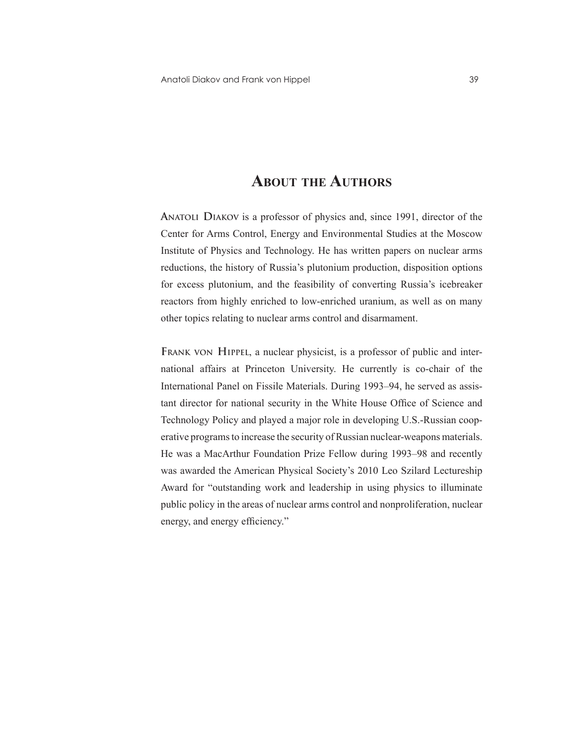## **About the Authors**

**Anatoli Diakov** is a professor of physics and, since 1991, director of the Center for Arms Control, Energy and Environmental Studies at the Moscow Institute of Physics and Technology. He has written papers on nuclear arms reductions, the history of Russia's plutonium production, disposition options for excess plutonium, and the feasibility of converting Russia's icebreaker reactors from highly enriched to low-enriched uranium, as well as on many other topics relating to nuclear arms control and disarmament.

**Frank von Hippel**, a nuclear physicist, is a professor of public and international affairs at Princeton University. He currently is co-chair of the International Panel on Fissile Materials. During 1993–94, he served as assistant director for national security in the White House Office of Science and Technology Policy and played a major role in developing U.S.-Russian cooperative programs to increase the security of Russian nuclear-weapons materials. He was a MacArthur Foundation Prize Fellow during 1993–98 and recently was awarded the American Physical Society's 2010 Leo Szilard Lectureship Award for "outstanding work and leadership in using physics to illuminate public policy in the areas of nuclear arms control and nonproliferation, nuclear energy, and energy efficiency."